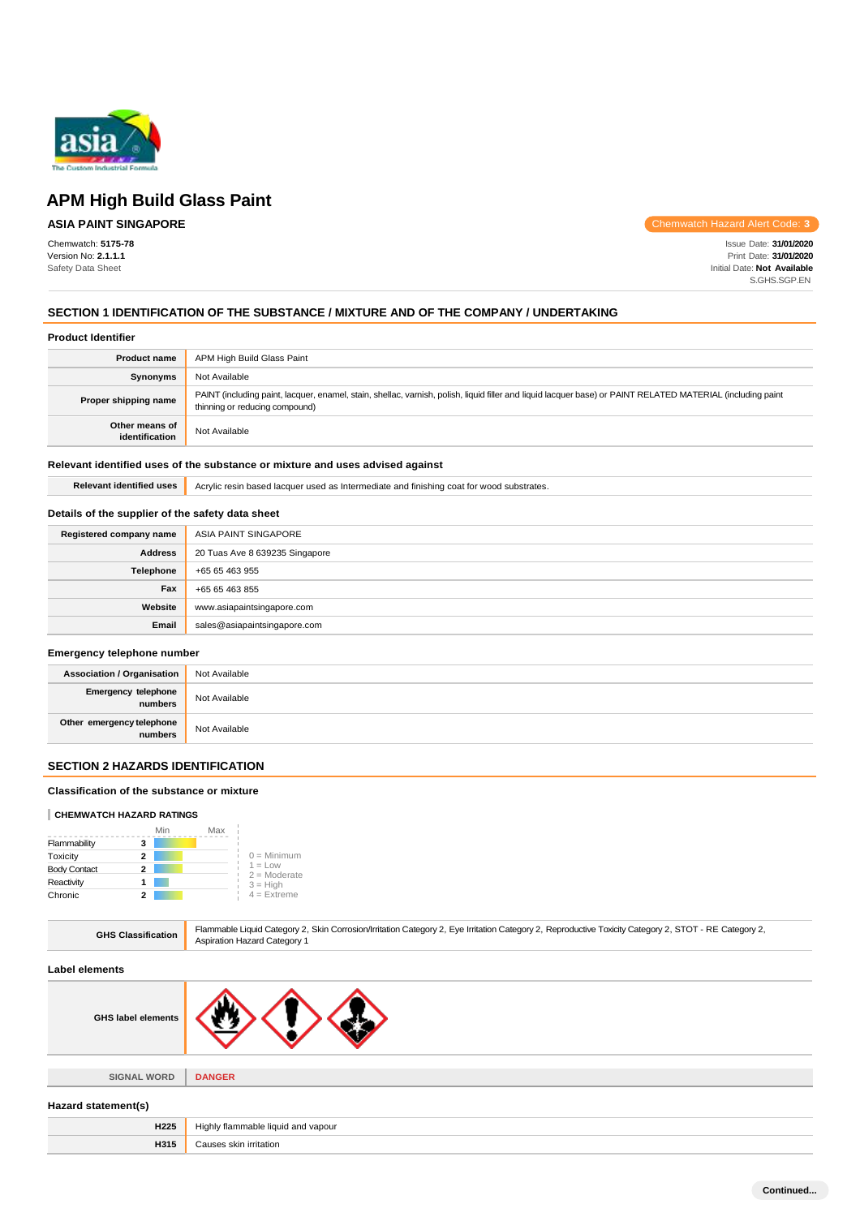

## **ASIA PAINT SINGAPORE**

Chemwatch: **5175-78** Version No: **2.1.1.1** Safety Data Sheet

Chemwatch Hazard Alert Code: **3**

Issue Date: **31/01/2020** Print Date: **31/01/2020** Initial Date: **Not Available** S.GHS.SGP.EN

## **SECTION 1 IDENTIFICATION OF THE SUBSTANCE / MIXTURE AND OF THE COMPANY / UNDERTAKING**

|  | <b>Product Identifier</b> |
|--|---------------------------|
|--|---------------------------|

| <b>Product name</b>              | APM High Build Glass Paint                                                                                                                                                                    |
|----------------------------------|-----------------------------------------------------------------------------------------------------------------------------------------------------------------------------------------------|
| <b>Synonyms</b>                  | Not Available                                                                                                                                                                                 |
| Proper shipping name             | PAINT (including paint, lacquer, enamel, stain, shellac, varnish, polish, liquid filler and liquid lacquer base) or PAINT RELATED MATERIAL (including paint<br>thinning or reducing compound) |
| Other means of<br>identification | Not Available                                                                                                                                                                                 |

#### **Relevant identified uses of the substance or mixture and uses advised against**

Relevant identified uses **Acrylic resin based lacquer used as Intermediate and finishing coat for wood substrates.** 

## **Details of the supplier of the safety data sheet**

| Registered company name | ASIA PAINT SINGAPORE           |
|-------------------------|--------------------------------|
| <b>Address</b>          | 20 Tuas Ave 8 639235 Singapore |
| Telephone               | +65 65 463 955                 |
| Fax                     | +65 65 463 855                 |
| Website                 | www.asiapaintsingapore.com     |
| Email                   | sales@asiapaintsingapore.com   |

#### **Emergency telephone number**

| <b>Association / Organisation</b>    | Not Available |
|--------------------------------------|---------------|
| Emergency telephone<br>numbers       | Not Available |
| Other emergency telephone<br>numbers | Not Available |

## **SECTION 2 HAZARDS IDENTIFICATION**

#### **Classification of the substance or mixture**

#### **CHEMWATCH HAZARD RATINGS**

|                     |   | Min | Max |                             |
|---------------------|---|-----|-----|-----------------------------|
| Flammability        | з |     |     |                             |
| Toxicity            | 2 |     |     | $0 =$ Minimum               |
| <b>Body Contact</b> | 2 |     |     | $1 = Low$<br>$2 =$ Moderate |
| Reactivity          |   |     |     | $3 = High$                  |
| Chronic             |   |     |     | $4$ = Extreme               |

|  | <b>GHS Classification</b> | Flammable Liquid Category 2, Skin Corrosion/Irritation Category 2, Eye Irritation Category 2, Reproductive Toxicity Category 2, STOT - RE Category 2,<br><b>Aspiration Hazard Category 1</b> |
|--|---------------------------|----------------------------------------------------------------------------------------------------------------------------------------------------------------------------------------------|
|--|---------------------------|----------------------------------------------------------------------------------------------------------------------------------------------------------------------------------------------|

#### **Label elements**

**SIGNAL WORD DANGER**

#### **Hazard statement(s)**

| H <sub>225</sub> | y flammable liquid and vapour.<br>Hiahl∖<br>$\sim$ $\sim$ |
|------------------|-----------------------------------------------------------|
| H315             | Causes skin irritation                                    |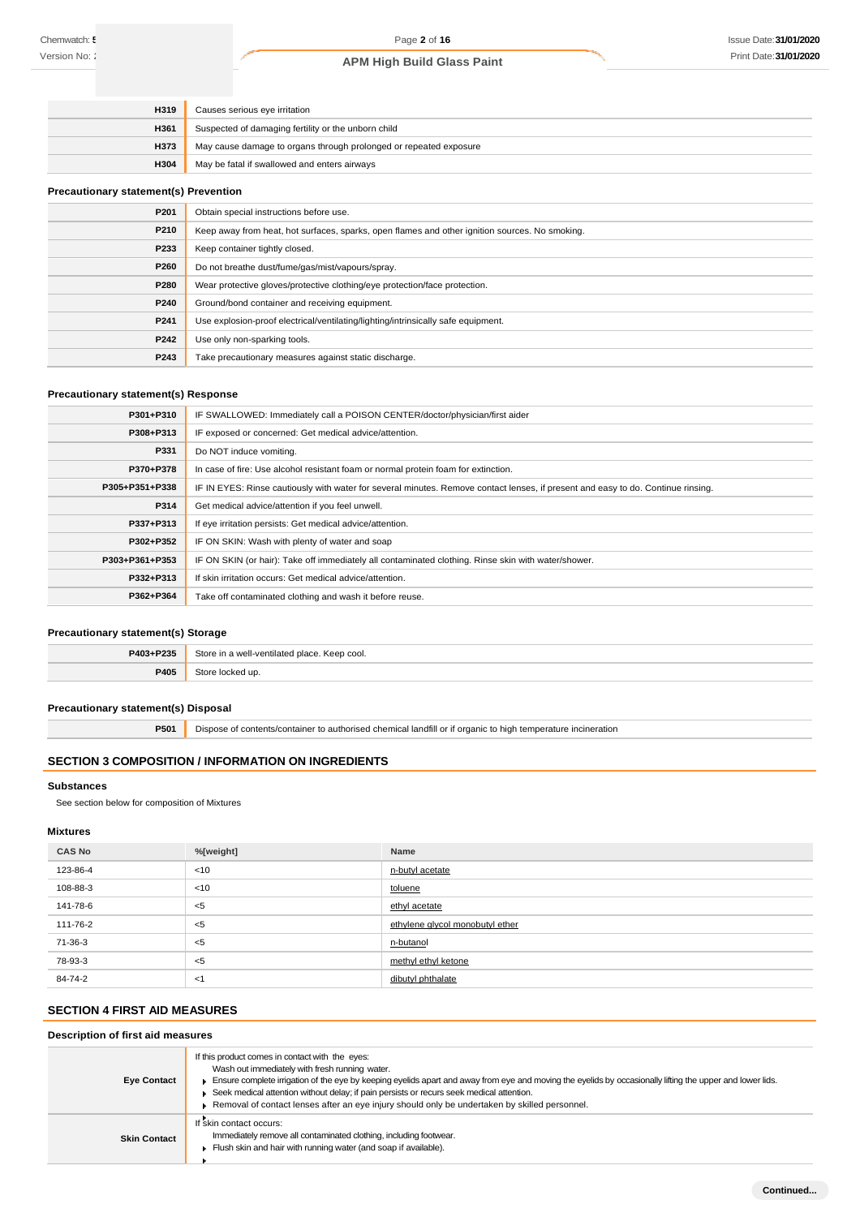| H319        | Causes serious eye irritation                                     |
|-------------|-------------------------------------------------------------------|
| <b>H361</b> | Suspected of damaging fertility or the unborn child               |
| <b>H373</b> | May cause damage to organs through prolonged or repeated exposure |
| <b>H304</b> | May be fatal if swallowed and enters airways                      |

#### **Precautionary statement(s) Prevention**

| P201 | Obtain special instructions before use.                                                        |
|------|------------------------------------------------------------------------------------------------|
| P210 | Keep away from heat, hot surfaces, sparks, open flames and other ignition sources. No smoking. |
| P233 | Keep container tightly closed.                                                                 |
| P260 | Do not breathe dust/fume/gas/mist/vapours/spray.                                               |
| P280 | Wear protective gloves/protective clothing/eye protection/face protection.                     |
| P240 | Ground/bond container and receiving equipment.                                                 |
| P241 | Use explosion-proof electrical/ventilating/lighting/intrinsically safe equipment.              |
| P242 | Use only non-sparking tools.                                                                   |
| P243 | Take precautionary measures against static discharge.                                          |

## **Precautionary statement(s) Response**

| P301+P310      | IF SWALLOWED: Immediately call a POISON CENTER/doctor/physician/first aider                                                      |
|----------------|----------------------------------------------------------------------------------------------------------------------------------|
| P308+P313      | IF exposed or concerned: Get medical advice/attention.                                                                           |
| P331           | Do NOT induce vomiting.                                                                                                          |
| P370+P378      | In case of fire: Use alcohol resistant foam or normal protein foam for extinction.                                               |
| P305+P351+P338 | IF IN EYES: Rinse cautiously with water for several minutes. Remove contact lenses, if present and easy to do. Continue rinsing. |
| P314           | Get medical advice/attention if you feel unwell.                                                                                 |
| P337+P313      | If eye irritation persists: Get medical advice/attention.                                                                        |
| P302+P352      | IF ON SKIN: Wash with plenty of water and soap                                                                                   |
| P303+P361+P353 | IF ON SKIN (or hair): Take off immediately all contaminated clothing. Rinse skin with water/shower.                              |
| P332+P313      | If skin irritation occurs: Get medical advice/attention.                                                                         |
| P362+P364      | Take off contaminated clothing and wash it before reuse.                                                                         |

#### **Precautionary statement(s) Storage**

| P403+P235 | Store<br>. a woll vontilated<br>l place. Keep cool. |
|-----------|-----------------------------------------------------|
| P405      | <b>Store</b><br>:ked up                             |

#### **Precautionary statement(s) Disposal**

**P501** Dispose of contents/container to authorised chemical landfill or if organic to high temperature incineration

## **SECTION 3 COMPOSITION / INFORMATION ON INGREDIENTS**

#### **Substances**

See section below for composition of Mixtures

#### **Mixtures**

| <b>CAS No</b> | %[weight] | Name                            |  |
|---------------|-----------|---------------------------------|--|
| 123-86-4      | <10       | n-butyl acetate                 |  |
| 108-88-3      | < 10      | toluene                         |  |
| 141-78-6      | $<$ 5     | ethyl acetate                   |  |
| 111-76-2      | $<$ 5     | ethylene glycol monobutyl ether |  |
| 71-36-3       | $<$ 5     | n-butanol                       |  |
| 78-93-3       | ≺5        | methyl ethyl ketone             |  |
| 84-74-2       | - <1      | dibutyl phthalate               |  |

## **SECTION 4 FIRST AID MEASURES**

## **Description of first aid measures**

| <b>Eye Contact</b>  | If this product comes in contact with the eyes:<br>Wash out immediately with fresh running water.<br>Ensure complete irrigation of the eye by keeping eyelids apart and away from eye and moving the eyelids by occasionally lifting the upper and lower lids.<br>Seek medical attention without delay; if pain persists or recurs seek medical attention.<br>Removal of contact lenses after an eye injury should only be undertaken by skilled personnel. |
|---------------------|-------------------------------------------------------------------------------------------------------------------------------------------------------------------------------------------------------------------------------------------------------------------------------------------------------------------------------------------------------------------------------------------------------------------------------------------------------------|
| <b>Skin Contact</b> | If skin contact occurs:<br>Immediately remove all contaminated clothing, including footwear.<br>Flush skin and hair with running water (and soap if available).                                                                                                                                                                                                                                                                                             |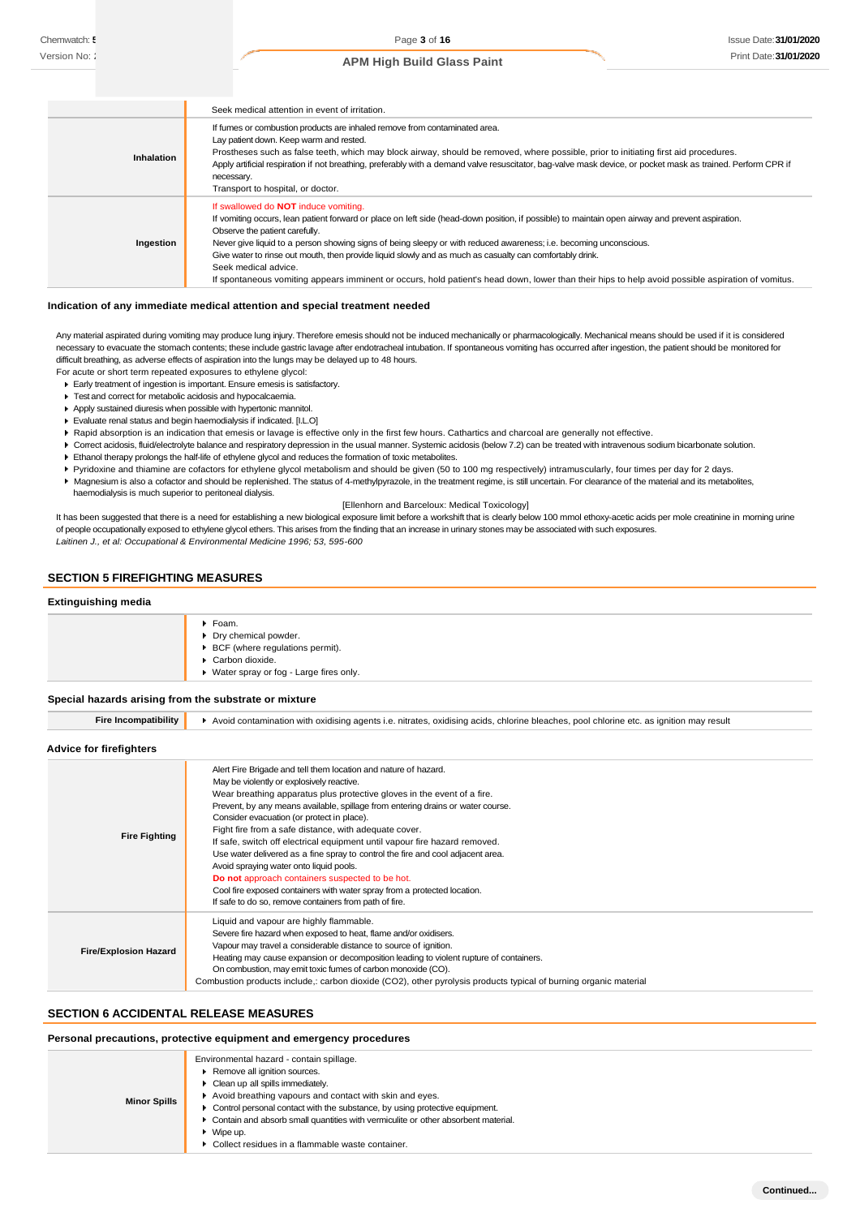|            | Seek medical attention in event of irritation.                                                                                                                                                                                                                                                                                                                                                                                                                                                                                                                                                                                                  |
|------------|-------------------------------------------------------------------------------------------------------------------------------------------------------------------------------------------------------------------------------------------------------------------------------------------------------------------------------------------------------------------------------------------------------------------------------------------------------------------------------------------------------------------------------------------------------------------------------------------------------------------------------------------------|
| Inhalation | If fumes or combustion products are inhaled remove from contaminated area.<br>Lay patient down. Keep warm and rested.<br>Prostheses such as false teeth, which may block airway, should be removed, where possible, prior to initiating first aid procedures.<br>Apply artificial respiration if not breathing, preferably with a demand valve resuscitator, bag-valve mask device, or pocket mask as trained. Perform CPR if<br>necessary.<br>Transport to hospital, or doctor.                                                                                                                                                                |
| Ingestion  | If swallowed do <b>NOT</b> induce vomiting.<br>If vomiting occurs, lean patient forward or place on left side (head-down position, if possible) to maintain open airway and prevent aspiration.<br>Observe the patient carefully.<br>Never give liquid to a person showing signs of being sleepy or with reduced awareness; i.e. becoming unconscious.<br>Give water to rinse out mouth, then provide liquid slowly and as much as casualty can comfortably drink.<br>Seek medical advice.<br>If spontaneous vomiting appears imminent or occurs, hold patient's head down, lower than their hips to help avoid possible aspiration of vomitus. |

#### **Indication of any immediate medical attention and special treatment needed**

Any material aspirated during vomiting may produce lung injury. Therefore emesis should not be induced mechanically or pharmacologically. Mechanical means should be used if it is considered necessary to evacuate the stomach contents; these include gastric lavage after endotracheal intubation. If spontaneous vomiting has occurred after ingestion, the patient should be monitored for difficult breathing, as adverse effects of aspiration into the lungs may be delayed up to 48 hours.

- For acute or short term repeated exposures to ethylene glycol: Early treatment of ingestion is important. Ensure emesis is satisfactory.
	- Test and correct for metabolic acidosis and hypocalcaemia.
- Apply sustained diuresis when possible with hypertonic mannitol.
- Evaluate renal status and begin haemodialysis if indicated. [I.L.O]
- ▶ Rapid absorption is an indication that emesis or lavage is effective only in the first few hours. Cathartics and charcoal are generally not effective.
- ▶ Correct acidosis, fluid/electrolyte balance and respiratory depression in the usual manner. Systemic acidosis (below 7.2) can be treated with intravenous sodium bicarbonate solution.
- Ethanol therapy prolongs the half-life of ethylene glycol and reduces the formation of toxic metabolites.
- Pyridoxine and thiamine are cofactors for ethylene glycol metabolism and should be given (50 to 100 mg respectively) intramuscularly, four times per day for 2 days.
- Magnesium is also a cofactor and should be replenished. The status of 4-methylpyrazole, in the treatment regime, is still uncertain. For clearance of the material and its metabolites, haemodialysis is much superior to peritoneal dialysis.

[Ellenhorn and Barceloux: Medical Toxicology]

It has been suggested that there is a need for establishing a new biological exposure limit before a workshift that is clearly below 100 mmol ethoxy-acetic acids per mole creatinine in morning urine of people occupationally exposed to ethylene glycol ethers. This arises from the finding that an increase in urinary stones may be associated with such exposures. *Laitinen J., et al: Occupational & Environmental Medicine 1996; 53, 595-600*

## **SECTION 5 FIREFIGHTING MEASURES**

#### **Extinguishing media**

| ▶ BCF (where regulations permit).<br>Carbon dioxide.<br>▶ Water spray or fog - Large fires only. | $\blacktriangleright$ Foam.<br>Dry chemical powder. |
|--------------------------------------------------------------------------------------------------|-----------------------------------------------------|
|--------------------------------------------------------------------------------------------------|-----------------------------------------------------|

#### **Special hazards arising from the substrate or mixture**

| <b>Fire Incompatibility</b>  | Avoid contamination with oxidising agents i.e. nitrates, oxidising acids, chlorine bleaches, pool chlorine etc. as ignition may result                                                                                                                                                                                                                                                                                                                                                                                                                                                                                                                                                                                                                                                 |
|------------------------------|----------------------------------------------------------------------------------------------------------------------------------------------------------------------------------------------------------------------------------------------------------------------------------------------------------------------------------------------------------------------------------------------------------------------------------------------------------------------------------------------------------------------------------------------------------------------------------------------------------------------------------------------------------------------------------------------------------------------------------------------------------------------------------------|
| Advice for firefighters      |                                                                                                                                                                                                                                                                                                                                                                                                                                                                                                                                                                                                                                                                                                                                                                                        |
| <b>Fire Fighting</b>         | Alert Fire Brigade and tell them location and nature of hazard.<br>May be violently or explosively reactive.<br>Wear breathing apparatus plus protective gloves in the event of a fire.<br>Prevent, by any means available, spillage from entering drains or water course.<br>Consider evacuation (or protect in place).<br>Fight fire from a safe distance, with adequate cover.<br>If safe, switch off electrical equipment until vapour fire hazard removed.<br>Use water delivered as a fine spray to control the fire and cool adjacent area.<br>Avoid spraying water onto liquid pools.<br>Do not approach containers suspected to be hot.<br>Cool fire exposed containers with water spray from a protected location.<br>If safe to do so, remove containers from path of fire. |
| <b>Fire/Explosion Hazard</b> | Liquid and vapour are highly flammable.<br>Severe fire hazard when exposed to heat, flame and/or oxidisers.<br>Vapour may travel a considerable distance to source of ignition.<br>Heating may cause expansion or decomposition leading to violent rupture of containers.<br>On combustion, may emit toxic fumes of carbon monoxide (CO).<br>Combustion products include, carbon dioxide (CO2), other pyrolysis products typical of burning organic material                                                                                                                                                                                                                                                                                                                           |

#### **SECTION 6 ACCIDENTAL RELEASE MEASURES**

#### **Personal precautions, protective equipment and emergency procedures**

| <b>Minor Spills</b> | Environmental hazard - contain spillage.<br>Remove all ignition sources.<br>• Clean up all spills immediately.<br>Avoid breathing vapours and contact with skin and eyes.<br>• Control personal contact with the substance, by using protective equipment.<br>• Contain and absorb small quantities with vermiculite or other absorbent material.<br>$\blacktriangleright$ Wipe up.<br>▶ Collect residues in a flammable waste container. |
|---------------------|-------------------------------------------------------------------------------------------------------------------------------------------------------------------------------------------------------------------------------------------------------------------------------------------------------------------------------------------------------------------------------------------------------------------------------------------|
|---------------------|-------------------------------------------------------------------------------------------------------------------------------------------------------------------------------------------------------------------------------------------------------------------------------------------------------------------------------------------------------------------------------------------------------------------------------------------|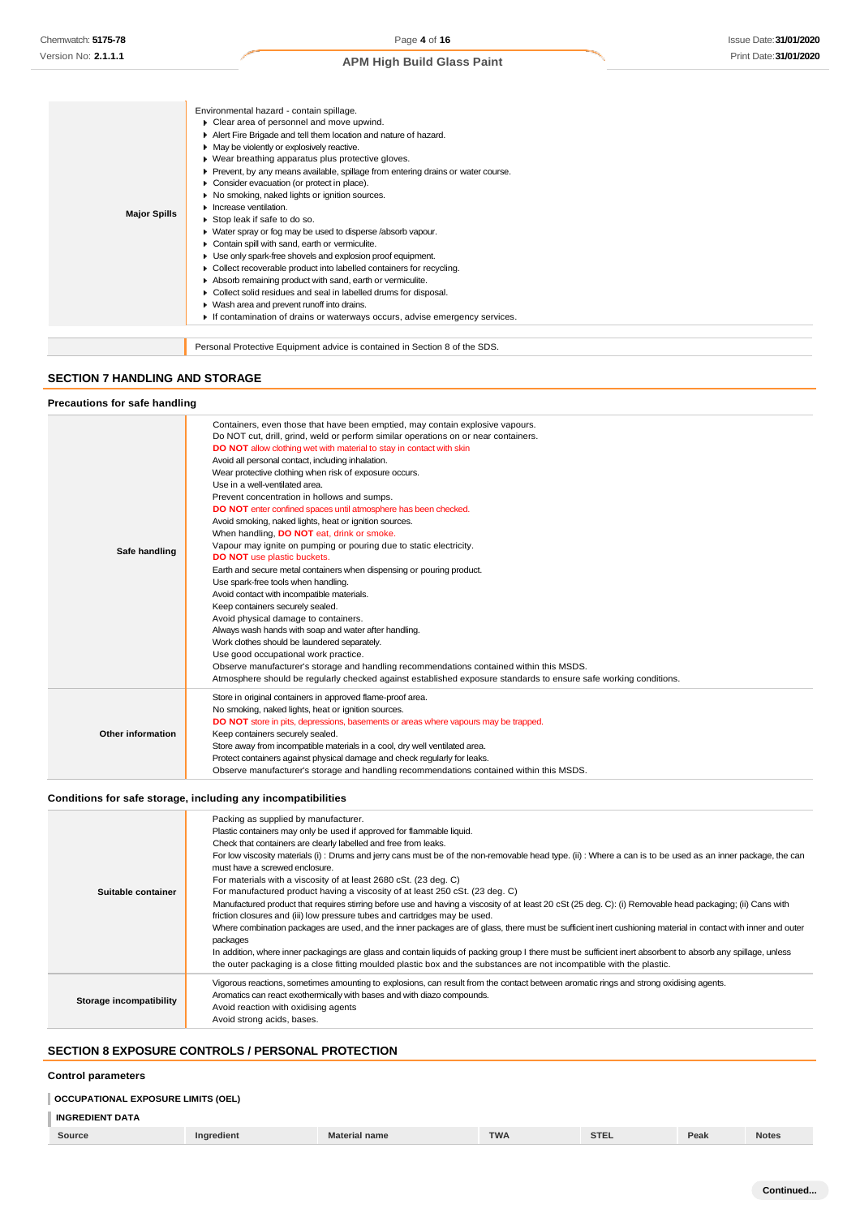| <b>Major Spills</b> | Environmental hazard - contain spillage.<br>Clear area of personnel and move upwind.<br>Alert Fire Brigade and tell them location and nature of hazard.<br>• May be violently or explosively reactive.<br>▶ Wear breathing apparatus plus protective gloves.<br>• Prevent, by any means available, spillage from entering drains or water course.<br>Consider evacuation (or protect in place).<br>No smoking, naked lights or ignition sources.<br>$\blacktriangleright$ Increase ventilation.<br>Stop leak if safe to do so.<br>▶ Water spray or fog may be used to disperse /absorb vapour.<br>Contain spill with sand, earth or vermiculite.<br>Use only spark-free shovels and explosion proof equipment.<br>• Collect recoverable product into labelled containers for recycling.<br>Absorb remaining product with sand, earth or vermiculite.<br>• Collect solid residues and seal in labelled drums for disposal.<br>▶ Wash area and prevent runoff into drains.<br>If contamination of drains or waterways occurs, advise emergency services. |
|---------------------|--------------------------------------------------------------------------------------------------------------------------------------------------------------------------------------------------------------------------------------------------------------------------------------------------------------------------------------------------------------------------------------------------------------------------------------------------------------------------------------------------------------------------------------------------------------------------------------------------------------------------------------------------------------------------------------------------------------------------------------------------------------------------------------------------------------------------------------------------------------------------------------------------------------------------------------------------------------------------------------------------------------------------------------------------------|
|                     | Personal Protective Equipment advice is contained in Section 8 of the SDS.                                                                                                                                                                                                                                                                                                                                                                                                                                                                                                                                                                                                                                                                                                                                                                                                                                                                                                                                                                             |

### **SECTION 7 HANDLING AND STORAGE**

n

#### **Precautions for safe handling**

| Safe handling     | Containers, even those that have been emptied, may contain explosive vapours.<br>Do NOT cut, drill, grind, weld or perform similar operations on or near containers.<br><b>DO NOT</b> allow clothing wet with material to stay in contact with skin<br>Avoid all personal contact, including inhalation.<br>Wear protective clothing when risk of exposure occurs.<br>Use in a well-ventilated area.<br>Prevent concentration in hollows and sumps.<br>DO NOT enter confined spaces until atmosphere has been checked.<br>Avoid smoking, naked lights, heat or ignition sources.<br>When handling, DO NOT eat, drink or smoke.<br>Vapour may ignite on pumping or pouring due to static electricity.<br><b>DO NOT</b> use plastic buckets.<br>Earth and secure metal containers when dispensing or pouring product. |
|-------------------|---------------------------------------------------------------------------------------------------------------------------------------------------------------------------------------------------------------------------------------------------------------------------------------------------------------------------------------------------------------------------------------------------------------------------------------------------------------------------------------------------------------------------------------------------------------------------------------------------------------------------------------------------------------------------------------------------------------------------------------------------------------------------------------------------------------------|
|                   |                                                                                                                                                                                                                                                                                                                                                                                                                                                                                                                                                                                                                                                                                                                                                                                                                     |
|                   |                                                                                                                                                                                                                                                                                                                                                                                                                                                                                                                                                                                                                                                                                                                                                                                                                     |
|                   |                                                                                                                                                                                                                                                                                                                                                                                                                                                                                                                                                                                                                                                                                                                                                                                                                     |
|                   |                                                                                                                                                                                                                                                                                                                                                                                                                                                                                                                                                                                                                                                                                                                                                                                                                     |
|                   |                                                                                                                                                                                                                                                                                                                                                                                                                                                                                                                                                                                                                                                                                                                                                                                                                     |
|                   |                                                                                                                                                                                                                                                                                                                                                                                                                                                                                                                                                                                                                                                                                                                                                                                                                     |
|                   |                                                                                                                                                                                                                                                                                                                                                                                                                                                                                                                                                                                                                                                                                                                                                                                                                     |
|                   |                                                                                                                                                                                                                                                                                                                                                                                                                                                                                                                                                                                                                                                                                                                                                                                                                     |
|                   | Use spark-free tools when handling.                                                                                                                                                                                                                                                                                                                                                                                                                                                                                                                                                                                                                                                                                                                                                                                 |
|                   | Avoid contact with incompatible materials.                                                                                                                                                                                                                                                                                                                                                                                                                                                                                                                                                                                                                                                                                                                                                                          |
|                   | Keep containers securely sealed.                                                                                                                                                                                                                                                                                                                                                                                                                                                                                                                                                                                                                                                                                                                                                                                    |
|                   | Avoid physical damage to containers.                                                                                                                                                                                                                                                                                                                                                                                                                                                                                                                                                                                                                                                                                                                                                                                |
|                   | Always wash hands with soap and water after handling.                                                                                                                                                                                                                                                                                                                                                                                                                                                                                                                                                                                                                                                                                                                                                               |
|                   | Work clothes should be laundered separately.                                                                                                                                                                                                                                                                                                                                                                                                                                                                                                                                                                                                                                                                                                                                                                        |
|                   | Use good occupational work practice.                                                                                                                                                                                                                                                                                                                                                                                                                                                                                                                                                                                                                                                                                                                                                                                |
|                   | Observe manufacturer's storage and handling recommendations contained within this MSDS.                                                                                                                                                                                                                                                                                                                                                                                                                                                                                                                                                                                                                                                                                                                             |
|                   | Atmosphere should be regularly checked against established exposure standards to ensure safe working conditions.                                                                                                                                                                                                                                                                                                                                                                                                                                                                                                                                                                                                                                                                                                    |
|                   | Store in original containers in approved flame-proof area.                                                                                                                                                                                                                                                                                                                                                                                                                                                                                                                                                                                                                                                                                                                                                          |
|                   | No smoking, naked lights, heat or ignition sources.                                                                                                                                                                                                                                                                                                                                                                                                                                                                                                                                                                                                                                                                                                                                                                 |
|                   | <b>DO NOT</b> store in pits, depressions, basements or areas where vapours may be trapped.                                                                                                                                                                                                                                                                                                                                                                                                                                                                                                                                                                                                                                                                                                                          |
| Other information | Keep containers securely sealed.                                                                                                                                                                                                                                                                                                                                                                                                                                                                                                                                                                                                                                                                                                                                                                                    |
|                   | Store away from incompatible materials in a cool, dry well ventilated area.                                                                                                                                                                                                                                                                                                                                                                                                                                                                                                                                                                                                                                                                                                                                         |
|                   | Protect containers against physical damage and check regularly for leaks.                                                                                                                                                                                                                                                                                                                                                                                                                                                                                                                                                                                                                                                                                                                                           |
|                   | Observe manufacturer's storage and handling recommendations contained within this MSDS.                                                                                                                                                                                                                                                                                                                                                                                                                                                                                                                                                                                                                                                                                                                             |

## **Conditions for safe storage, including any incompatibilities**

| Suitable container      | Packing as supplied by manufacturer.<br>Plastic containers may only be used if approved for flammable liquid.<br>Check that containers are clearly labelled and free from leaks.<br>For low viscosity materials (i): Drums and jerry cans must be of the non-removable head type. (ii): Where a can is to be used as an inner package, the can<br>must have a screwed enclosure.<br>For materials with a viscosity of at least 2680 cSt. (23 deg. C)<br>For manufactured product having a viscosity of at least 250 cSt. (23 deg. C)<br>Manufactured product that requires stirring before use and having a viscosity of at least 20 cSt (25 deg. C): (i) Removable head packaging; (ii) Cans with<br>friction closures and (iii) low pressure tubes and cartridges may be used.<br>Where combination packages are used, and the inner packages are of glass, there must be sufficient inert cushioning material in contact with inner and outer<br>packages<br>In addition, where inner packagings are glass and contain liquids of packing group I there must be sufficient inert absorbent to absorb any spillage, unless<br>the outer packaging is a close fitting moulded plastic box and the substances are not incompatible with the plastic. |
|-------------------------|------------------------------------------------------------------------------------------------------------------------------------------------------------------------------------------------------------------------------------------------------------------------------------------------------------------------------------------------------------------------------------------------------------------------------------------------------------------------------------------------------------------------------------------------------------------------------------------------------------------------------------------------------------------------------------------------------------------------------------------------------------------------------------------------------------------------------------------------------------------------------------------------------------------------------------------------------------------------------------------------------------------------------------------------------------------------------------------------------------------------------------------------------------------------------------------------------------------------------------------------------|
| Storage incompatibility | Vigorous reactions, sometimes amounting to explosions, can result from the contact between aromatic rings and strong oxidising agents.<br>Aromatics can react exothermically with bases and with diazo compounds.<br>Avoid reaction with oxidising agents<br>Avoid strong acids, bases.                                                                                                                                                                                                                                                                                                                                                                                                                                                                                                                                                                                                                                                                                                                                                                                                                                                                                                                                                              |

## **SECTION 8 EXPOSURE CONTROLS / PERSONAL PROTECTION**

#### **Control parameters**

## **OCCUPATIONAL EXPOSURE LIMITS (OEL)**

## **INGREDIENT DATA**

|  | Source | <b>Ingredient</b> | <b>Material name</b> | <b>TWA</b> | 27.5<br>- SIL. | Peak | <b>Notes</b> |
|--|--------|-------------------|----------------------|------------|----------------|------|--------------|
|--|--------|-------------------|----------------------|------------|----------------|------|--------------|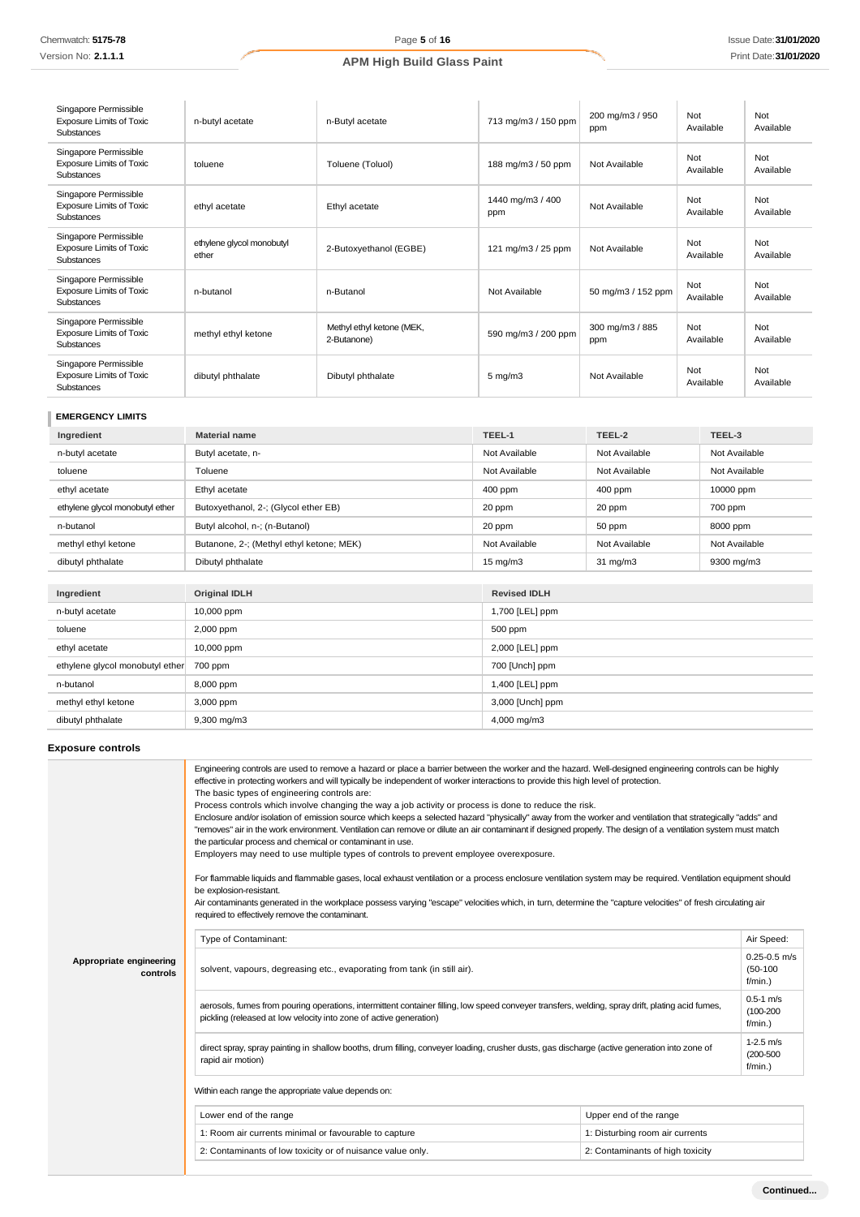| Singapore Permissible<br><b>Exposure Limits of Toxic</b><br>Substances | n-butyl acetate                    | n-Butyl acetate                          | 713 mg/m3 / 150 ppm     | 200 mg/m3 / 950<br>ppm | Not<br>Available | Not<br>Available |
|------------------------------------------------------------------------|------------------------------------|------------------------------------------|-------------------------|------------------------|------------------|------------------|
| Singapore Permissible<br><b>Exposure Limits of Toxic</b><br>Substances | toluene                            | Toluene (Toluol)                         | 188 mg/m3 / 50 ppm      | Not Available          | Not<br>Available | Not<br>Available |
| Singapore Permissible<br><b>Exposure Limits of Toxic</b><br>Substances | ethyl acetate                      | Ethyl acetate                            | 1440 mg/m3 / 400<br>ppm | Not Available          | Not<br>Available | Not<br>Available |
| Singapore Permissible<br><b>Exposure Limits of Toxic</b><br>Substances | ethylene glycol monobutyl<br>ether | 2-Butoxyethanol (EGBE)                   | 121 mg/m $3/25$ ppm     | Not Available          | Not<br>Available | Not<br>Available |
| Singapore Permissible<br><b>Exposure Limits of Toxic</b><br>Substances | n-butanol                          | n-Butanol                                | Not Available           | 50 mg/m3 / 152 ppm     | Not<br>Available | Not<br>Available |
| Singapore Permissible<br><b>Exposure Limits of Toxic</b><br>Substances | methyl ethyl ketone                | Methyl ethyl ketone (MEK,<br>2-Butanone) | 590 mg/m3 / 200 ppm     | 300 mg/m3 / 885<br>ppm | Not<br>Available | Not<br>Available |
| Singapore Permissible<br><b>Exposure Limits of Toxic</b><br>Substances | dibutyl phthalate                  | Dibutyl phthalate                        | $5 \text{ mg/m}$ 3      | Not Available          | Not<br>Available | Not<br>Available |

## **EMERGENCY LIMITS**

| Ingredient                      | <b>Material name</b>                     | TEEL-1            | TEEL-2            | TEEL-3        |
|---------------------------------|------------------------------------------|-------------------|-------------------|---------------|
| n-butyl acetate                 | Butyl acetate, n-                        | Not Available     | Not Available     | Not Available |
| toluene                         | Toluene                                  | Not Available     | Not Available     | Not Available |
| ethyl acetate                   | Ethyl acetate                            | 400 ppm           | $400$ ppm         | 10000 ppm     |
| ethylene glycol monobutyl ether | Butoxyethanol, 2-; (Glycol ether EB)     | 20 ppm            | 20 ppm            | 700 ppm       |
| n-butanol                       | Butyl alcohol, n-; (n-Butanol)           | 20 ppm            | 50 ppm            | 8000 ppm      |
| methyl ethyl ketone             | Butanone, 2-; (Methyl ethyl ketone; MEK) | Not Available     | Not Available     | Not Available |
| dibutyl phthalate               | Dibutyl phthalate                        | $15 \text{ mg/m}$ | $31 \text{ mg/m}$ | 9300 mg/m3    |

| Ingredient                      | <b>Original IDLH</b> | <b>Revised IDLH</b> |
|---------------------------------|----------------------|---------------------|
| n-butyl acetate                 | 10,000 ppm           | 1,700 [LEL] ppm     |
| toluene                         | 2,000 ppm            | 500 ppm             |
| ethyl acetate                   | 10,000 ppm           | 2,000 [LEL] ppm     |
| ethylene glycol monobutyl ether | 700 ppm              | 700 [Unch] ppm      |
| n-butanol                       | 8,000 ppm            | 1,400 [LEL] ppm     |
| methyl ethyl ketone             | 3,000 ppm            | 3,000 [Unch] ppm    |
| dibutyl phthalate               | $9,300$ mg/m $3$     | 4,000 mg/m3         |

## **Exposure controls**

|                                     | Engineering controls are used to remove a hazard or place a barrier between the worker and the hazard. Well-designed engineering controls can be highly<br>effective in protecting workers and will typically be independent of worker interactions to provide this high level of protection.<br>The basic types of engineering controls are:<br>Process controls which involve changing the way a job activity or process is done to reduce the risk.<br>Enclosure and/or isolation of emission source which keeps a selected hazard "physically" away from the worker and ventilation that strategically "adds" and<br>"removes" air in the work environment. Ventilation can remove or dilute an air contaminant if designed properly. The design of a ventilation system must match<br>the particular process and chemical or contaminant in use.<br>Employers may need to use multiple types of controls to prevent employee overexposure.<br>For flammable liquids and flammable gases, local exhaust ventilation or a process enclosure ventilation system may be required. Ventilation equipment should<br>be explosion-resistant.<br>Air contaminants generated in the workplace possess varying "escape" velocities which, in turn, determine the "capture velocities" of fresh circulating air<br>required to effectively remove the contaminant. |                                  |                                              |
|-------------------------------------|--------------------------------------------------------------------------------------------------------------------------------------------------------------------------------------------------------------------------------------------------------------------------------------------------------------------------------------------------------------------------------------------------------------------------------------------------------------------------------------------------------------------------------------------------------------------------------------------------------------------------------------------------------------------------------------------------------------------------------------------------------------------------------------------------------------------------------------------------------------------------------------------------------------------------------------------------------------------------------------------------------------------------------------------------------------------------------------------------------------------------------------------------------------------------------------------------------------------------------------------------------------------------------------------------------------------------------------------------------------|----------------------------------|----------------------------------------------|
|                                     | Type of Contaminant:                                                                                                                                                                                                                                                                                                                                                                                                                                                                                                                                                                                                                                                                                                                                                                                                                                                                                                                                                                                                                                                                                                                                                                                                                                                                                                                                         |                                  | Air Speed:                                   |
| Appropriate engineering<br>controls | solvent, vapours, degreasing etc., evaporating from tank (in still air).                                                                                                                                                                                                                                                                                                                                                                                                                                                                                                                                                                                                                                                                                                                                                                                                                                                                                                                                                                                                                                                                                                                                                                                                                                                                                     |                                  | $0.25 - 0.5$ m/s<br>$(50-100)$<br>$f/min.$ ) |
|                                     | aerosols, fumes from pouring operations, intermittent container filling, low speed conveyer transfers, welding, spray drift, plating acid fumes,<br>pickling (released at low velocity into zone of active generation)                                                                                                                                                                                                                                                                                                                                                                                                                                                                                                                                                                                                                                                                                                                                                                                                                                                                                                                                                                                                                                                                                                                                       |                                  | $0.5 - 1$ m/s<br>$(100 - 200)$<br>$f/min.$ ) |
|                                     | direct spray, spray painting in shallow booths, drum filling, conveyer loading, crusher dusts, gas discharge (active generation into zone of<br>rapid air motion)                                                                                                                                                                                                                                                                                                                                                                                                                                                                                                                                                                                                                                                                                                                                                                                                                                                                                                                                                                                                                                                                                                                                                                                            |                                  | $1-2.5$ m/s<br>$(200 - 500)$<br>$f/min.$ )   |
|                                     | Within each range the appropriate value depends on:                                                                                                                                                                                                                                                                                                                                                                                                                                                                                                                                                                                                                                                                                                                                                                                                                                                                                                                                                                                                                                                                                                                                                                                                                                                                                                          |                                  |                                              |
|                                     | Lower end of the range                                                                                                                                                                                                                                                                                                                                                                                                                                                                                                                                                                                                                                                                                                                                                                                                                                                                                                                                                                                                                                                                                                                                                                                                                                                                                                                                       | Upper end of the range           |                                              |
|                                     | 1: Room air currents minimal or favourable to capture                                                                                                                                                                                                                                                                                                                                                                                                                                                                                                                                                                                                                                                                                                                                                                                                                                                                                                                                                                                                                                                                                                                                                                                                                                                                                                        | 1: Disturbing room air currents  |                                              |
|                                     | 2: Contaminants of low toxicity or of nuisance value only.                                                                                                                                                                                                                                                                                                                                                                                                                                                                                                                                                                                                                                                                                                                                                                                                                                                                                                                                                                                                                                                                                                                                                                                                                                                                                                   | 2: Contaminants of high toxicity |                                              |
|                                     |                                                                                                                                                                                                                                                                                                                                                                                                                                                                                                                                                                                                                                                                                                                                                                                                                                                                                                                                                                                                                                                                                                                                                                                                                                                                                                                                                              |                                  |                                              |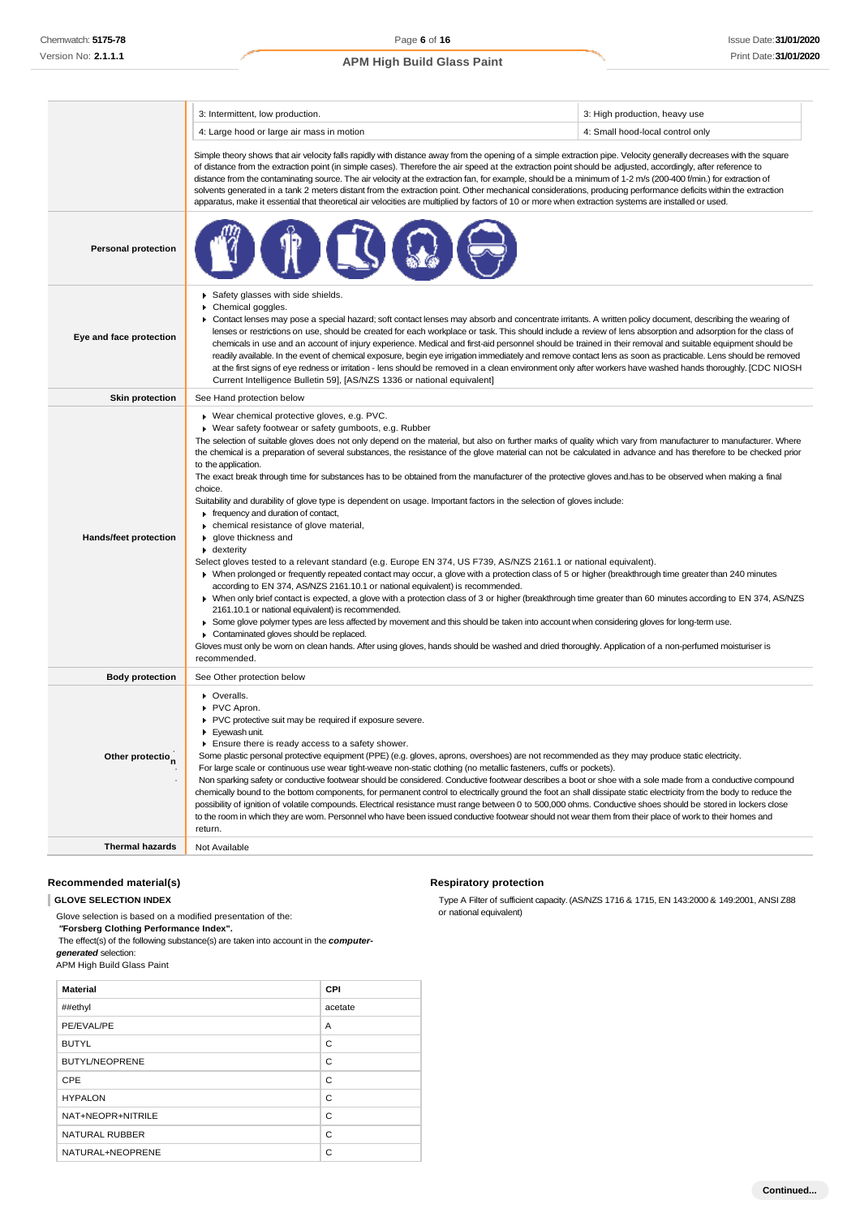|                              | 3: Intermittent, low production.                                                                                                                                                                                                                                                                                                                                                                                                                                                                                                                                                                                                                                                                                                                                                                                                                                                                                                                                                                                                                                                                                                                                                                                                                                                                                                                                                                                                                                                                                                                                                                                                                                                                                                                                                                                                                                                 | 3: High production, heavy use    |  |
|------------------------------|----------------------------------------------------------------------------------------------------------------------------------------------------------------------------------------------------------------------------------------------------------------------------------------------------------------------------------------------------------------------------------------------------------------------------------------------------------------------------------------------------------------------------------------------------------------------------------------------------------------------------------------------------------------------------------------------------------------------------------------------------------------------------------------------------------------------------------------------------------------------------------------------------------------------------------------------------------------------------------------------------------------------------------------------------------------------------------------------------------------------------------------------------------------------------------------------------------------------------------------------------------------------------------------------------------------------------------------------------------------------------------------------------------------------------------------------------------------------------------------------------------------------------------------------------------------------------------------------------------------------------------------------------------------------------------------------------------------------------------------------------------------------------------------------------------------------------------------------------------------------------------|----------------------------------|--|
|                              | 4: Large hood or large air mass in motion                                                                                                                                                                                                                                                                                                                                                                                                                                                                                                                                                                                                                                                                                                                                                                                                                                                                                                                                                                                                                                                                                                                                                                                                                                                                                                                                                                                                                                                                                                                                                                                                                                                                                                                                                                                                                                        | 4: Small hood-local control only |  |
|                              | Simple theory shows that air velocity falls rapidly with distance away from the opening of a simple extraction pipe. Velocity generally decreases with the square<br>of distance from the extraction point (in simple cases). Therefore the air speed at the extraction point should be adjusted, accordingly, after reference to<br>distance from the contaminating source. The air velocity at the extraction fan, for example, should be a minimum of 1-2 m/s (200-400 f/min.) for extraction of<br>solvents generated in a tank 2 meters distant from the extraction point. Other mechanical considerations, producing performance deficits within the extraction<br>apparatus, make it essential that theoretical air velocities are multiplied by factors of 10 or more when extraction systems are installed or used.                                                                                                                                                                                                                                                                                                                                                                                                                                                                                                                                                                                                                                                                                                                                                                                                                                                                                                                                                                                                                                                     |                                  |  |
| <b>Personal protection</b>   |                                                                                                                                                                                                                                                                                                                                                                                                                                                                                                                                                                                                                                                                                                                                                                                                                                                                                                                                                                                                                                                                                                                                                                                                                                                                                                                                                                                                                                                                                                                                                                                                                                                                                                                                                                                                                                                                                  |                                  |  |
| Eye and face protection      | Safety glasses with side shields.<br>Chemical goggles.<br>▶ Contact lenses may pose a special hazard; soft contact lenses may absorb and concentrate irritants. A written policy document, describing the wearing of<br>lenses or restrictions on use, should be created for each workplace or task. This should include a review of lens absorption and adsorption for the class of<br>chemicals in use and an account of injury experience. Medical and first-aid personnel should be trained in their removal and suitable equipment should be<br>readily available. In the event of chemical exposure, begin eye irrigation immediately and remove contact lens as soon as practicable. Lens should be removed<br>at the first signs of eye redness or irritation - lens should be removed in a clean environment only after workers have washed hands thoroughly. [CDC NIOSH<br>Current Intelligence Bulletin 59], [AS/NZS 1336 or national equivalent]                                                                                                                                                                                                                                                                                                                                                                                                                                                                                                                                                                                                                                                                                                                                                                                                                                                                                                                     |                                  |  |
| <b>Skin protection</b>       | See Hand protection below                                                                                                                                                                                                                                                                                                                                                                                                                                                                                                                                                                                                                                                                                                                                                                                                                                                                                                                                                                                                                                                                                                                                                                                                                                                                                                                                                                                                                                                                                                                                                                                                                                                                                                                                                                                                                                                        |                                  |  |
| Hands/feet protection        | ▶ Wear chemical protective gloves, e.g. PVC.<br>▶ Wear safety footwear or safety gumboots, e.g. Rubber<br>The selection of suitable gloves does not only depend on the material, but also on further marks of quality which vary from manufacturer to manufacturer. Where<br>the chemical is a preparation of several substances, the resistance of the glove material can not be calculated in advance and has therefore to be checked prior<br>to the application.<br>The exact break through time for substances has to be obtained from the manufacturer of the protective gloves and has to be observed when making a final<br>choice.<br>Suitability and durability of glove type is dependent on usage. Important factors in the selection of gloves include:<br>$\blacktriangleright$ frequency and duration of contact,<br>• chemical resistance of glove material,<br>▶ glove thickness and<br>$\bullet$ dexterity<br>Select gloves tested to a relevant standard (e.g. Europe EN 374, US F739, AS/NZS 2161.1 or national equivalent).<br>• When prolonged or frequently repeated contact may occur, a glove with a protection class of 5 or higher (breakthrough time greater than 240 minutes<br>according to EN 374, AS/NZS 2161.10.1 or national equivalent) is recommended.<br>> When only brief contact is expected, a glove with a protection class of 3 or higher (breakthrough time greater than 60 minutes according to EN 374, AS/NZS<br>2161.10.1 or national equivalent) is recommended.<br>> Some glove polymer types are less affected by movement and this should be taken into account when considering gloves for long-term use.<br>Contaminated gloves should be replaced.<br>Gloves must only be wom on clean hands. After using gloves, hands should be washed and dried thoroughly. Application of a non-perfumed moisturiser is<br>recommended. |                                  |  |
| <b>Body protection</b>       | See Other protection below                                                                                                                                                                                                                                                                                                                                                                                                                                                                                                                                                                                                                                                                                                                                                                                                                                                                                                                                                                                                                                                                                                                                                                                                                                                                                                                                                                                                                                                                                                                                                                                                                                                                                                                                                                                                                                                       |                                  |  |
| Other protectio <sub>n</sub> | • Overalls.<br>PVC Apron.<br>PVC protective suit may be required if exposure severe.<br>Eyewash unit.<br>Ensure there is ready access to a safety shower.<br>Some plastic personal protective equipment (PPE) (e.g. gloves, aprons, overshoes) are not recommended as they may produce static electricity.<br>For large scale or continuous use wear tight-weave non-static clothing (no metallic fasteners, cuffs or pockets).<br>Non sparking safety or conductive footwear should be considered. Conductive footwear describes a boot or shoe with a sole made from a conductive compound<br>chemically bound to the bottom components, for permanent control to electrically ground the foot an shall dissipate static electricity from the body to reduce the<br>possibility of ignition of volatile compounds. Electrical resistance must range between 0 to 500,000 ohms. Conductive shoes should be stored in lockers close<br>to the room in which they are worn. Personnel who have been issued conductive footwear should not wear them from their place of work to their homes and<br>return.                                                                                                                                                                                                                                                                                                                                                                                                                                                                                                                                                                                                                                                                                                                                                                        |                                  |  |
| <b>Thermal hazards</b>       | Not Available                                                                                                                                                                                                                                                                                                                                                                                                                                                                                                                                                                                                                                                                                                                                                                                                                                                                                                                                                                                                                                                                                                                                                                                                                                                                                                                                                                                                                                                                                                                                                                                                                                                                                                                                                                                                                                                                    |                                  |  |

#### **Recommended material(s)**

**GLOVE SELECTION INDEX**

Glove selection is based on a modified presentation of the: *"***Forsberg Clothing Performance Index".**

The effect(s) of the following substance(s) are taken into account in the *computergenerated* selection:

APM High Build Glass Paint

| <b>Material</b>       | <b>CPI</b> |
|-----------------------|------------|
| ##ethyl               | acetate    |
| PE/EVAL/PE            | A          |
| <b>BUTYL</b>          | C          |
| <b>BUTYL/NEOPRENE</b> | C          |
| CPE                   | C          |
| <b>HYPALON</b>        | C          |
| NAT+NEOPR+NITRILE     | C          |
| NATURAL RUBBER        | C          |
| NATURAL+NEOPRENE      | C          |

#### **Respiratory protection**

Type A Filter of sufficient capacity. (AS/NZS 1716 & 1715, EN 143:2000 & 149:2001, ANSI Z88 or national equivalent)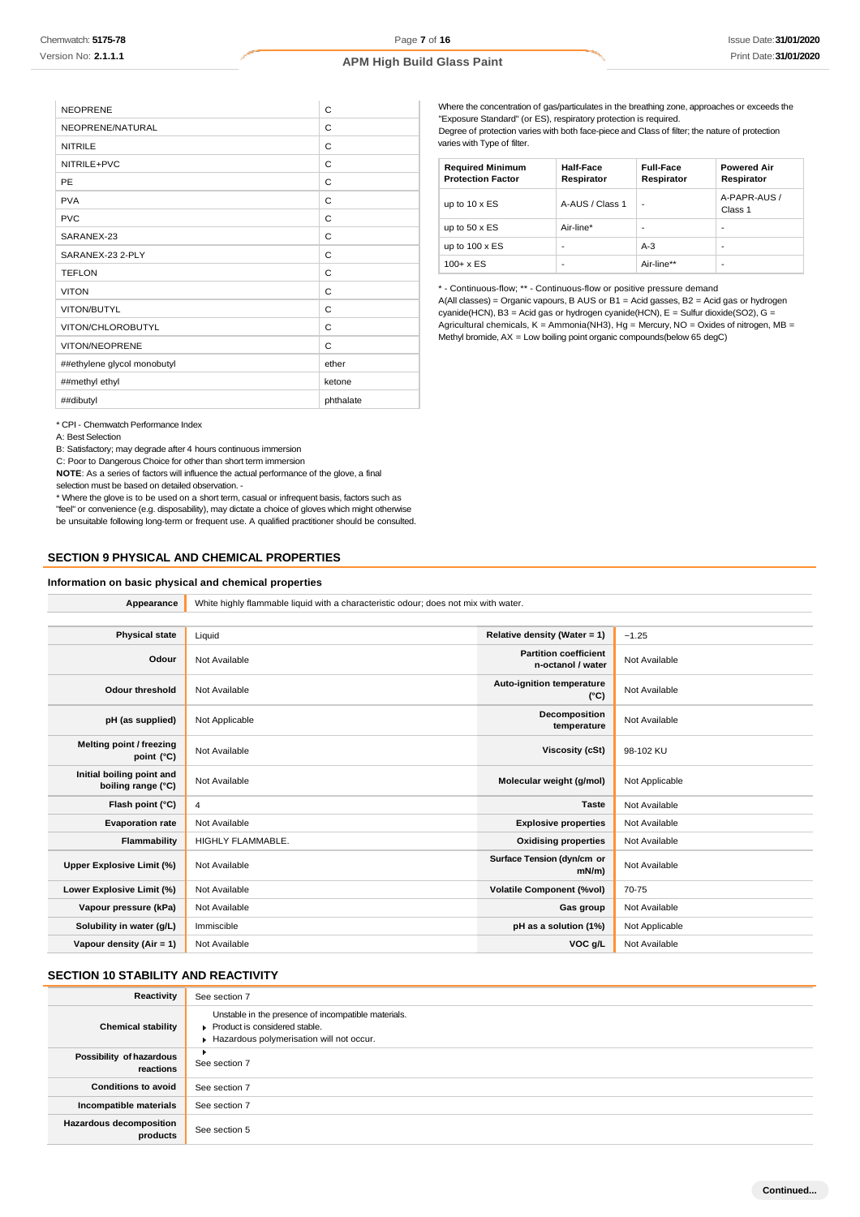| <b>NEOPRENE</b>             | C         |
|-----------------------------|-----------|
| NEOPRENE/NATURAL            | C         |
| <b>NITRILE</b>              | C         |
| NITRILE+PVC                 | C         |
| PE                          | C         |
| <b>PVA</b>                  | C         |
| <b>PVC</b>                  | C         |
| SARANEX-23                  | C         |
| SARANEX-23 2-PLY            | C         |
| <b>TEFLON</b>               | C         |
| <b>VITON</b>                | C         |
| VITON/BUTYL                 | C         |
| VITON/CHLOROBUTYL           | C         |
| VITON/NEOPRENE              | C         |
| ##ethylene glycol monobutyl | ether     |
| ##methyl ethyl              | ketone    |
| ##dibutyl                   | phthalate |

Where the concentration of gas/particulates in the breathing zone, approaches or exceeds the "Exposure Standard" (or ES), respiratory protection is required. Degree of protection varies with both face-piece and Class of filter; the nature of protection varies with Type of filter.

| <b>Required Minimum</b><br><b>Protection Factor</b> | Half-Face<br>Respirator | <b>Full-Face</b><br>Respirator | <b>Powered Air</b><br>Respirator |
|-----------------------------------------------------|-------------------------|--------------------------------|----------------------------------|
| up to $10 \times ES$                                | A-AUS / Class 1         | ٠                              | A-PAPR-AUS /<br>Class 1          |
| up to $50 \times ES$                                | Air-line*               | ۰                              | -                                |
| up to $100 \times ES$                               | -                       | $A-3$                          | -                                |
| $100 + x ES$                                        | -                       | Air-line**                     | -                                |

\* - Continuous-flow; \*\* - Continuous-flow or positive pressure demand A(All classes) = Organic vapours, B AUS or B1 = Acid gasses, B2 = Acid gas or hydrogen cyanide(HCN), B3 = Acid gas or hydrogen cyanide(HCN), E = Sulfur dioxide(SO2), G = Agricultural chemicals, K = Ammonia(NH3), Hg = Mercury, NO = Oxides of nitrogen, MB = Methyl bromide, AX = Low boiling point organic compounds(below 65 degC)

\* CPI - Chemwatch Performance Index

A: Best Selection

B: Satisfactory; may degrade after 4 hours continuous immersion

C: Poor to Dangerous Choice for other than short term immersion

**NOTE**: As a series of factors will influence the actual performance of the glove, a final selection must be based on detailed observation. -

\* Where the glove is to be used on a short term, casual or infrequent basis, factors such as "feel" or convenience (e.g. disposability), may dictate a choice of gloves which might otherwise be unsuitable following long-term or frequent use. A qualified practitioner should be consulted.

#### **SECTION 9 PHYSICAL AND CHEMICAL PROPERTIES**

#### **Information on basic physical and chemical properties**

**Appearance** White highly flammable liquid with a characteristic odour; does not mix with water.

| <b>Physical state</b>                           | Liquid            | Relative density (Water = 1)                      | ~1.25          |
|-------------------------------------------------|-------------------|---------------------------------------------------|----------------|
| Odour                                           | Not Available     | <b>Partition coefficient</b><br>n-octanol / water | Not Available  |
| <b>Odour threshold</b>                          | Not Available     | Auto-ignition temperature<br>$(^{\circ}C)$        | Not Available  |
| pH (as supplied)                                | Not Applicable    | Decomposition<br>temperature                      | Not Available  |
| Melting point / freezing<br>point $(^{\circ}C)$ | Not Available     | Viscosity (cSt)                                   | 98-102 KU      |
| Initial boiling point and<br>boiling range (°C) | Not Available     | Molecular weight (g/mol)                          | Not Applicable |
| Flash point (°C)                                | 4                 | <b>Taste</b>                                      | Not Available  |
| <b>Evaporation rate</b>                         | Not Available     | <b>Explosive properties</b>                       | Not Available  |
| Flammability                                    | HIGHLY FLAMMABLE. | <b>Oxidising properties</b>                       | Not Available  |
| Upper Explosive Limit (%)                       | Not Available     | Surface Tension (dyn/cm or<br>$mN/m$ )            | Not Available  |
| Lower Explosive Limit (%)                       | Not Available     | <b>Volatile Component (%vol)</b>                  | 70-75          |
| Vapour pressure (kPa)                           | Not Available     | Gas group                                         | Not Available  |
| Solubility in water (g/L)                       | Immiscible        | pH as a solution (1%)                             | Not Applicable |
| Vapour density $(Air = 1)$                      | Not Available     | VOC g/L                                           | Not Available  |

## **SECTION 10 STABILITY AND REACTIVITY**

| Reactivity                                 | See section 7                                                                                                                    |
|--------------------------------------------|----------------------------------------------------------------------------------------------------------------------------------|
| <b>Chemical stability</b>                  | Unstable in the presence of incompatible materials.<br>Product is considered stable.<br>Hazardous polymerisation will not occur. |
| Possibility of hazardous<br>reactions      | ٠<br>See section 7                                                                                                               |
| <b>Conditions to avoid</b>                 | See section 7                                                                                                                    |
| Incompatible materials                     | See section 7                                                                                                                    |
| <b>Hazardous decomposition</b><br>products | See section 5                                                                                                                    |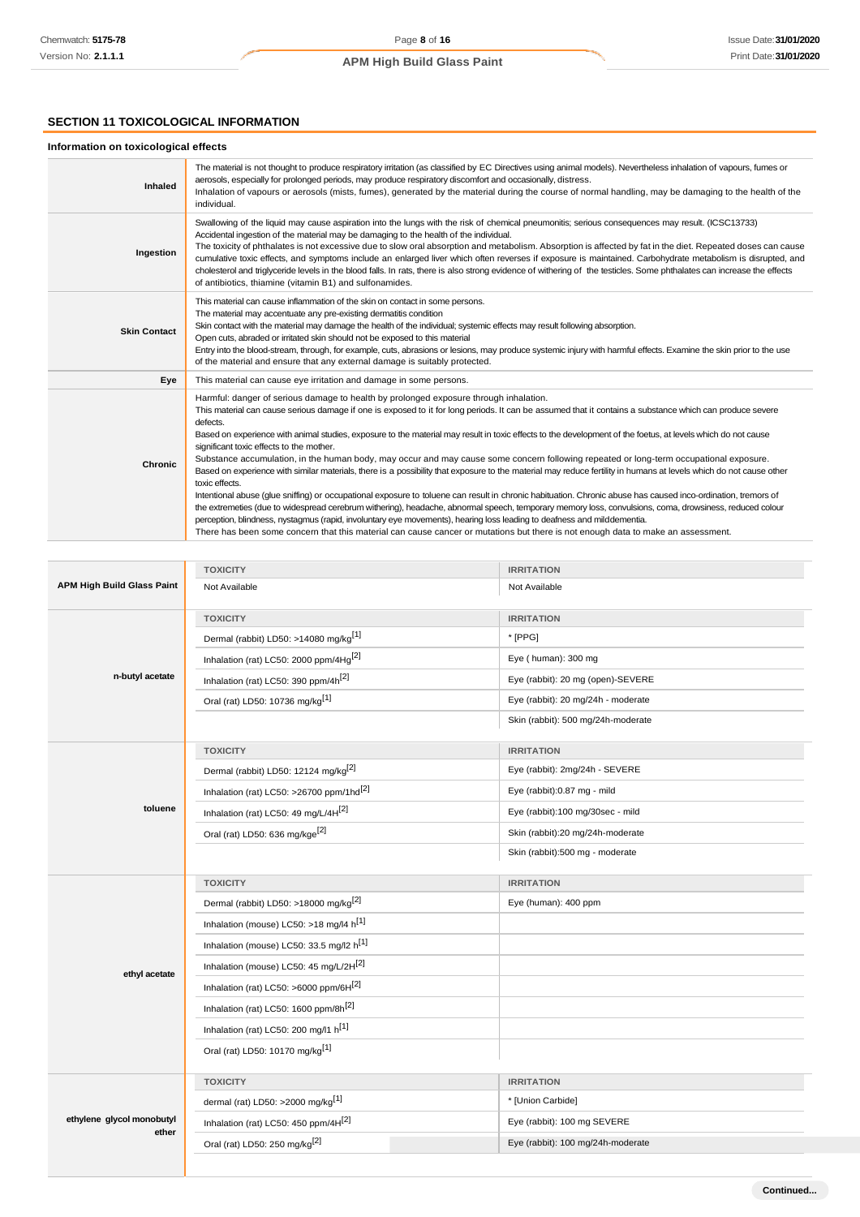## **SECTION 11 TOXICOLOGICAL INFORMATION**

## **Information on toxicological effects**

| Inhaled             | The material is not thought to produce respiratory irritation (as classified by EC Directives using animal models). Nevertheless inhalation of vapours, fumes or<br>aerosols, especially for prolonged periods, may produce respiratory discomfort and occasionally, distress.<br>Inhalation of vapours or aerosols (mists, fumes), generated by the material during the course of normal handling, may be damaging to the health of the<br>individual.                                                                                                                                                                                                                                                                                                                                                                                                                                                                                                                                                                                                                                                                                                                                                                                                                                                                                                                                                |
|---------------------|--------------------------------------------------------------------------------------------------------------------------------------------------------------------------------------------------------------------------------------------------------------------------------------------------------------------------------------------------------------------------------------------------------------------------------------------------------------------------------------------------------------------------------------------------------------------------------------------------------------------------------------------------------------------------------------------------------------------------------------------------------------------------------------------------------------------------------------------------------------------------------------------------------------------------------------------------------------------------------------------------------------------------------------------------------------------------------------------------------------------------------------------------------------------------------------------------------------------------------------------------------------------------------------------------------------------------------------------------------------------------------------------------------|
| Ingestion           | Swallowing of the liquid may cause aspiration into the lungs with the risk of chemical pneumonitis; serious consequences may result. (ICSC13733)<br>Accidental ingestion of the material may be damaging to the health of the individual.<br>The toxicity of phthalates is not excessive due to slow oral absorption and metabolism. Absorption is affected by fat in the diet. Repeated doses can cause<br>cumulative toxic effects, and symptoms include an enlarged liver which often reverses if exposure is maintained. Carbohydrate metabolism is disrupted, and<br>cholesterol and triglyceride levels in the blood falls. In rats, there is also strong evidence of withering of the testicles. Some phthalates can increase the effects<br>of antibiotics, thiamine (vitamin B1) and sulfonamides.                                                                                                                                                                                                                                                                                                                                                                                                                                                                                                                                                                                            |
| <b>Skin Contact</b> | This material can cause inflammation of the skin on contact in some persons.<br>The material may accentuate any pre-existing dermatitis condition<br>Skin contact with the material may damage the health of the individual; systemic effects may result following absorption.<br>Open cuts, abraded or irritated skin should not be exposed to this material<br>Entry into the blood-stream, through, for example, cuts, abrasions or lesions, may produce systemic injury with harmful effects. Examine the skin prior to the use<br>of the material and ensure that any external damage is suitably protected.                                                                                                                                                                                                                                                                                                                                                                                                                                                                                                                                                                                                                                                                                                                                                                                      |
| Eye                 | This material can cause eye irritation and damage in some persons.                                                                                                                                                                                                                                                                                                                                                                                                                                                                                                                                                                                                                                                                                                                                                                                                                                                                                                                                                                                                                                                                                                                                                                                                                                                                                                                                     |
| Chronic             | Harmful: danger of serious damage to health by prolonged exposure through inhalation.<br>This material can cause serious damage if one is exposed to it for long periods. It can be assumed that it contains a substance which can produce severe<br>defects.<br>Based on experience with animal studies, exposure to the material may result in toxic effects to the development of the foetus, at levels which do not cause<br>significant toxic effects to the mother.<br>Substance accumulation, in the human body, may occur and may cause some concern following repeated or long-term occupational exposure.<br>Based on experience with similar materials, there is a possibility that exposure to the material may reduce fertility in humans at levels which do not cause other<br>toxic effects.<br>Intentional abuse (glue sniffing) or occupational exposure to toluene can result in chronic habituation. Chronic abuse has caused inco-ordination, tremors of<br>the extremeties (due to widespread cerebrum withering), headache, abnormal speech, temporary memory loss, convulsions, coma, drowsiness, reduced colour<br>perception, blindness, nystagmus (rapid, involuntary eye movements), hearing loss leading to deafness and milddementia.<br>There has been some concern that this material can cause cancer or mutations but there is not enough data to make an assessment. |

|                                   | <b>TOXICITY</b>                                      | <b>IRRITATION</b>                  |
|-----------------------------------|------------------------------------------------------|------------------------------------|
| <b>APM High Build Glass Paint</b> | Not Available                                        | Not Available                      |
|                                   | <b>TOXICITY</b>                                      | <b>IRRITATION</b>                  |
|                                   | Dermal (rabbit) LD50: >14080 mg/kg <sup>[1]</sup>    | * [PPG]                            |
|                                   | Inhalation (rat) LC50: 2000 ppm/4Hg <sup>[2]</sup>   | Eye (human): 300 mg                |
| n-butyl acetate                   | Inhalation (rat) LC50: 390 ppm/4h <sup>[2]</sup>     | Eye (rabbit): 20 mg (open)-SEVERE  |
|                                   | Oral (rat) LD50: 10736 mg/kg <sup>[1]</sup>          | Eye (rabbit): 20 mg/24h - moderate |
|                                   |                                                      | Skin (rabbit): 500 mg/24h-moderate |
|                                   | <b>TOXICITY</b>                                      | <b>IRRITATION</b>                  |
|                                   | Dermal (rabbit) LD50: 12124 mg/kg <sup>[2]</sup>     | Eye (rabbit): 2mg/24h - SEVERE     |
|                                   | Inhalation (rat) LC50: >26700 ppm/1hd <sup>[2]</sup> | Eye (rabbit):0.87 mg - mild        |
| toluene                           | Inhalation (rat) LC50: 49 mg/L/4H <sup>[2]</sup>     | Eye (rabbit):100 mg/30sec - mild   |
|                                   | Oral (rat) LD50: 636 mg/kge <sup>[2]</sup>           | Skin (rabbit):20 mg/24h-moderate   |
|                                   |                                                      | Skin (rabbit):500 mg - moderate    |
|                                   |                                                      |                                    |
|                                   | <b>TOXICITY</b>                                      | <b>IRRITATION</b>                  |
|                                   | Dermal (rabbit) LD50: >18000 mg/kg <sup>[2]</sup>    | Eye (human): 400 ppm               |
|                                   | Inhalation (mouse) LC50: >18 mg/l4 h <sup>[1]</sup>  |                                    |
|                                   | Inhalation (mouse) LC50: 33.5 mg/l2 h <sup>[1]</sup> |                                    |
|                                   | Inhalation (mouse) LC50: 45 mg/L/2H <sup>[2]</sup>   |                                    |
| ethyl acetate                     | Inhalation (rat) LC50: >6000 ppm/6H[2]               |                                    |
|                                   | Inhalation (rat) LC50: 1600 ppm/8h <sup>[2]</sup>    |                                    |
|                                   | Inhalation (rat) LC50: 200 mg/l1 h[1]                |                                    |
|                                   | Oral (rat) LD50: 10170 mg/kg <sup>[1]</sup>          |                                    |
|                                   | <b>TOXICITY</b>                                      | <b>IRRITATION</b>                  |
|                                   | dermal (rat) LD50: >2000 mg/kg <sup>[1]</sup>        | * [Union Carbide]                  |
| ethylene glycol monobutyl         | Inhalation (rat) LC50: 450 ppm/4H[2]                 | Eye (rabbit): 100 mg SEVERE        |
| ether                             | Oral (rat) LD50: 250 mg/kg <sup>[2]</sup>            | Eye (rabbit): 100 mg/24h-moderate  |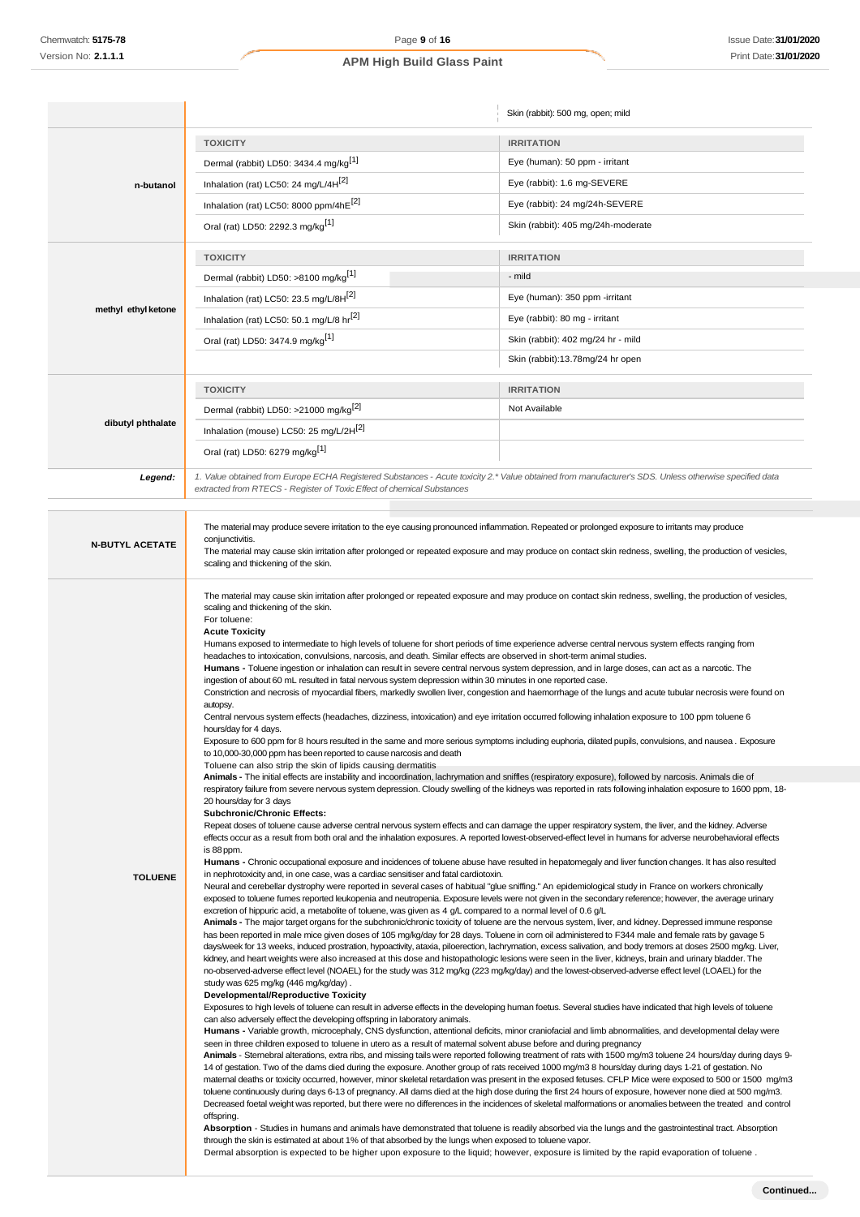|                        |                                                                                                                                                                                                                                                                                                                                                                                                                                                                                                                                                                                                                                                                                                                                                                                                                                                                                                                                                                                                                                                                                                                                                                                                                                                                                                                                                                                                                                                                                                                                                                                                                                                                                                                                                                                                                                                                                                                                                                                                                                                                                                                                                                                                                                                                                                                                                                                                                                                                                                                                                                                                                                                                                                                                                                                                                                                                                                                                                                                                                                                                                                                                                                                                                                                                                                                                                                                                                                                                                                                                                                                                                                                                                                                                                                                                                                                                                                                                                                                                           | Skin (rabbit): 500 mg, open; mild  |
|------------------------|-----------------------------------------------------------------------------------------------------------------------------------------------------------------------------------------------------------------------------------------------------------------------------------------------------------------------------------------------------------------------------------------------------------------------------------------------------------------------------------------------------------------------------------------------------------------------------------------------------------------------------------------------------------------------------------------------------------------------------------------------------------------------------------------------------------------------------------------------------------------------------------------------------------------------------------------------------------------------------------------------------------------------------------------------------------------------------------------------------------------------------------------------------------------------------------------------------------------------------------------------------------------------------------------------------------------------------------------------------------------------------------------------------------------------------------------------------------------------------------------------------------------------------------------------------------------------------------------------------------------------------------------------------------------------------------------------------------------------------------------------------------------------------------------------------------------------------------------------------------------------------------------------------------------------------------------------------------------------------------------------------------------------------------------------------------------------------------------------------------------------------------------------------------------------------------------------------------------------------------------------------------------------------------------------------------------------------------------------------------------------------------------------------------------------------------------------------------------------------------------------------------------------------------------------------------------------------------------------------------------------------------------------------------------------------------------------------------------------------------------------------------------------------------------------------------------------------------------------------------------------------------------------------------------------------------------------------------------------------------------------------------------------------------------------------------------------------------------------------------------------------------------------------------------------------------------------------------------------------------------------------------------------------------------------------------------------------------------------------------------------------------------------------------------------------------------------------------------------------------------------------------------------------------------------------------------------------------------------------------------------------------------------------------------------------------------------------------------------------------------------------------------------------------------------------------------------------------------------------------------------------------------------------------------------------------------------------------------------------------------------------------|------------------------------------|
|                        | <b>TOXICITY</b>                                                                                                                                                                                                                                                                                                                                                                                                                                                                                                                                                                                                                                                                                                                                                                                                                                                                                                                                                                                                                                                                                                                                                                                                                                                                                                                                                                                                                                                                                                                                                                                                                                                                                                                                                                                                                                                                                                                                                                                                                                                                                                                                                                                                                                                                                                                                                                                                                                                                                                                                                                                                                                                                                                                                                                                                                                                                                                                                                                                                                                                                                                                                                                                                                                                                                                                                                                                                                                                                                                                                                                                                                                                                                                                                                                                                                                                                                                                                                                                           | <b>IRRITATION</b>                  |
|                        | Dermal (rabbit) LD50: 3434.4 mg/kg <sup>[1]</sup>                                                                                                                                                                                                                                                                                                                                                                                                                                                                                                                                                                                                                                                                                                                                                                                                                                                                                                                                                                                                                                                                                                                                                                                                                                                                                                                                                                                                                                                                                                                                                                                                                                                                                                                                                                                                                                                                                                                                                                                                                                                                                                                                                                                                                                                                                                                                                                                                                                                                                                                                                                                                                                                                                                                                                                                                                                                                                                                                                                                                                                                                                                                                                                                                                                                                                                                                                                                                                                                                                                                                                                                                                                                                                                                                                                                                                                                                                                                                                         | Eye (human): 50 ppm - irritant     |
| n-butanol              | Inhalation (rat) LC50: 24 mg/L/4H <sup>[2]</sup>                                                                                                                                                                                                                                                                                                                                                                                                                                                                                                                                                                                                                                                                                                                                                                                                                                                                                                                                                                                                                                                                                                                                                                                                                                                                                                                                                                                                                                                                                                                                                                                                                                                                                                                                                                                                                                                                                                                                                                                                                                                                                                                                                                                                                                                                                                                                                                                                                                                                                                                                                                                                                                                                                                                                                                                                                                                                                                                                                                                                                                                                                                                                                                                                                                                                                                                                                                                                                                                                                                                                                                                                                                                                                                                                                                                                                                                                                                                                                          | Eye (rabbit): 1.6 mg-SEVERE        |
|                        | Inhalation (rat) LC50: 8000 ppm/4hE[2]                                                                                                                                                                                                                                                                                                                                                                                                                                                                                                                                                                                                                                                                                                                                                                                                                                                                                                                                                                                                                                                                                                                                                                                                                                                                                                                                                                                                                                                                                                                                                                                                                                                                                                                                                                                                                                                                                                                                                                                                                                                                                                                                                                                                                                                                                                                                                                                                                                                                                                                                                                                                                                                                                                                                                                                                                                                                                                                                                                                                                                                                                                                                                                                                                                                                                                                                                                                                                                                                                                                                                                                                                                                                                                                                                                                                                                                                                                                                                                    | Eye (rabbit): 24 mg/24h-SEVERE     |
|                        | Oral (rat) LD50: 2292.3 mg/kg <sup>[1]</sup>                                                                                                                                                                                                                                                                                                                                                                                                                                                                                                                                                                                                                                                                                                                                                                                                                                                                                                                                                                                                                                                                                                                                                                                                                                                                                                                                                                                                                                                                                                                                                                                                                                                                                                                                                                                                                                                                                                                                                                                                                                                                                                                                                                                                                                                                                                                                                                                                                                                                                                                                                                                                                                                                                                                                                                                                                                                                                                                                                                                                                                                                                                                                                                                                                                                                                                                                                                                                                                                                                                                                                                                                                                                                                                                                                                                                                                                                                                                                                              | Skin (rabbit): 405 mg/24h-moderate |
|                        | <b>TOXICITY</b>                                                                                                                                                                                                                                                                                                                                                                                                                                                                                                                                                                                                                                                                                                                                                                                                                                                                                                                                                                                                                                                                                                                                                                                                                                                                                                                                                                                                                                                                                                                                                                                                                                                                                                                                                                                                                                                                                                                                                                                                                                                                                                                                                                                                                                                                                                                                                                                                                                                                                                                                                                                                                                                                                                                                                                                                                                                                                                                                                                                                                                                                                                                                                                                                                                                                                                                                                                                                                                                                                                                                                                                                                                                                                                                                                                                                                                                                                                                                                                                           | <b>IRRITATION</b>                  |
|                        | Dermal (rabbit) LD50: >8100 mg/kg <sup>[1]</sup>                                                                                                                                                                                                                                                                                                                                                                                                                                                                                                                                                                                                                                                                                                                                                                                                                                                                                                                                                                                                                                                                                                                                                                                                                                                                                                                                                                                                                                                                                                                                                                                                                                                                                                                                                                                                                                                                                                                                                                                                                                                                                                                                                                                                                                                                                                                                                                                                                                                                                                                                                                                                                                                                                                                                                                                                                                                                                                                                                                                                                                                                                                                                                                                                                                                                                                                                                                                                                                                                                                                                                                                                                                                                                                                                                                                                                                                                                                                                                          | - mild                             |
|                        | Inhalation (rat) LC50: 23.5 mg/L/8H <sup>[2]</sup>                                                                                                                                                                                                                                                                                                                                                                                                                                                                                                                                                                                                                                                                                                                                                                                                                                                                                                                                                                                                                                                                                                                                                                                                                                                                                                                                                                                                                                                                                                                                                                                                                                                                                                                                                                                                                                                                                                                                                                                                                                                                                                                                                                                                                                                                                                                                                                                                                                                                                                                                                                                                                                                                                                                                                                                                                                                                                                                                                                                                                                                                                                                                                                                                                                                                                                                                                                                                                                                                                                                                                                                                                                                                                                                                                                                                                                                                                                                                                        | Eye (human): 350 ppm -irritant     |
| methyl ethyl ketone    | Inhalation (rat) LC50: 50.1 mg/L/8 hr <sup>[2]</sup><br>Eye (rabbit): 80 mg - irritant                                                                                                                                                                                                                                                                                                                                                                                                                                                                                                                                                                                                                                                                                                                                                                                                                                                                                                                                                                                                                                                                                                                                                                                                                                                                                                                                                                                                                                                                                                                                                                                                                                                                                                                                                                                                                                                                                                                                                                                                                                                                                                                                                                                                                                                                                                                                                                                                                                                                                                                                                                                                                                                                                                                                                                                                                                                                                                                                                                                                                                                                                                                                                                                                                                                                                                                                                                                                                                                                                                                                                                                                                                                                                                                                                                                                                                                                                                                    |                                    |
|                        | Oral (rat) LD50: 3474.9 mg/kg <sup>[1]</sup>                                                                                                                                                                                                                                                                                                                                                                                                                                                                                                                                                                                                                                                                                                                                                                                                                                                                                                                                                                                                                                                                                                                                                                                                                                                                                                                                                                                                                                                                                                                                                                                                                                                                                                                                                                                                                                                                                                                                                                                                                                                                                                                                                                                                                                                                                                                                                                                                                                                                                                                                                                                                                                                                                                                                                                                                                                                                                                                                                                                                                                                                                                                                                                                                                                                                                                                                                                                                                                                                                                                                                                                                                                                                                                                                                                                                                                                                                                                                                              | Skin (rabbit): 402 mg/24 hr - mild |
|                        |                                                                                                                                                                                                                                                                                                                                                                                                                                                                                                                                                                                                                                                                                                                                                                                                                                                                                                                                                                                                                                                                                                                                                                                                                                                                                                                                                                                                                                                                                                                                                                                                                                                                                                                                                                                                                                                                                                                                                                                                                                                                                                                                                                                                                                                                                                                                                                                                                                                                                                                                                                                                                                                                                                                                                                                                                                                                                                                                                                                                                                                                                                                                                                                                                                                                                                                                                                                                                                                                                                                                                                                                                                                                                                                                                                                                                                                                                                                                                                                                           | Skin (rabbit):13.78mg/24 hr open   |
|                        | <b>TOXICITY</b>                                                                                                                                                                                                                                                                                                                                                                                                                                                                                                                                                                                                                                                                                                                                                                                                                                                                                                                                                                                                                                                                                                                                                                                                                                                                                                                                                                                                                                                                                                                                                                                                                                                                                                                                                                                                                                                                                                                                                                                                                                                                                                                                                                                                                                                                                                                                                                                                                                                                                                                                                                                                                                                                                                                                                                                                                                                                                                                                                                                                                                                                                                                                                                                                                                                                                                                                                                                                                                                                                                                                                                                                                                                                                                                                                                                                                                                                                                                                                                                           | <b>IRRITATION</b>                  |
|                        | Dermal (rabbit) LD50: >21000 mg/kg <sup>[2]</sup>                                                                                                                                                                                                                                                                                                                                                                                                                                                                                                                                                                                                                                                                                                                                                                                                                                                                                                                                                                                                                                                                                                                                                                                                                                                                                                                                                                                                                                                                                                                                                                                                                                                                                                                                                                                                                                                                                                                                                                                                                                                                                                                                                                                                                                                                                                                                                                                                                                                                                                                                                                                                                                                                                                                                                                                                                                                                                                                                                                                                                                                                                                                                                                                                                                                                                                                                                                                                                                                                                                                                                                                                                                                                                                                                                                                                                                                                                                                                                         | Not Available                      |
| dibutyl phthalate      | Inhalation (mouse) LC50: 25 mg/L/2H <sup>[2]</sup>                                                                                                                                                                                                                                                                                                                                                                                                                                                                                                                                                                                                                                                                                                                                                                                                                                                                                                                                                                                                                                                                                                                                                                                                                                                                                                                                                                                                                                                                                                                                                                                                                                                                                                                                                                                                                                                                                                                                                                                                                                                                                                                                                                                                                                                                                                                                                                                                                                                                                                                                                                                                                                                                                                                                                                                                                                                                                                                                                                                                                                                                                                                                                                                                                                                                                                                                                                                                                                                                                                                                                                                                                                                                                                                                                                                                                                                                                                                                                        |                                    |
|                        | Oral (rat) LD50: 6279 mg/kg <sup>[1]</sup>                                                                                                                                                                                                                                                                                                                                                                                                                                                                                                                                                                                                                                                                                                                                                                                                                                                                                                                                                                                                                                                                                                                                                                                                                                                                                                                                                                                                                                                                                                                                                                                                                                                                                                                                                                                                                                                                                                                                                                                                                                                                                                                                                                                                                                                                                                                                                                                                                                                                                                                                                                                                                                                                                                                                                                                                                                                                                                                                                                                                                                                                                                                                                                                                                                                                                                                                                                                                                                                                                                                                                                                                                                                                                                                                                                                                                                                                                                                                                                |                                    |
|                        | 1. Value obtained from Europe ECHA Registered Substances - Acute toxicity 2.* Value obtained from manufacturer's SDS. Unless otherwise specified data                                                                                                                                                                                                                                                                                                                                                                                                                                                                                                                                                                                                                                                                                                                                                                                                                                                                                                                                                                                                                                                                                                                                                                                                                                                                                                                                                                                                                                                                                                                                                                                                                                                                                                                                                                                                                                                                                                                                                                                                                                                                                                                                                                                                                                                                                                                                                                                                                                                                                                                                                                                                                                                                                                                                                                                                                                                                                                                                                                                                                                                                                                                                                                                                                                                                                                                                                                                                                                                                                                                                                                                                                                                                                                                                                                                                                                                     |                                    |
| Legend:                | extracted from RTECS - Register of Toxic Effect of chemical Substances                                                                                                                                                                                                                                                                                                                                                                                                                                                                                                                                                                                                                                                                                                                                                                                                                                                                                                                                                                                                                                                                                                                                                                                                                                                                                                                                                                                                                                                                                                                                                                                                                                                                                                                                                                                                                                                                                                                                                                                                                                                                                                                                                                                                                                                                                                                                                                                                                                                                                                                                                                                                                                                                                                                                                                                                                                                                                                                                                                                                                                                                                                                                                                                                                                                                                                                                                                                                                                                                                                                                                                                                                                                                                                                                                                                                                                                                                                                                    |                                    |
|                        |                                                                                                                                                                                                                                                                                                                                                                                                                                                                                                                                                                                                                                                                                                                                                                                                                                                                                                                                                                                                                                                                                                                                                                                                                                                                                                                                                                                                                                                                                                                                                                                                                                                                                                                                                                                                                                                                                                                                                                                                                                                                                                                                                                                                                                                                                                                                                                                                                                                                                                                                                                                                                                                                                                                                                                                                                                                                                                                                                                                                                                                                                                                                                                                                                                                                                                                                                                                                                                                                                                                                                                                                                                                                                                                                                                                                                                                                                                                                                                                                           |                                    |
|                        | The material may produce severe irritation to the eye causing pronounced inflammation. Repeated or prolonged exposure to irritants may produce<br>conjunctivitis.                                                                                                                                                                                                                                                                                                                                                                                                                                                                                                                                                                                                                                                                                                                                                                                                                                                                                                                                                                                                                                                                                                                                                                                                                                                                                                                                                                                                                                                                                                                                                                                                                                                                                                                                                                                                                                                                                                                                                                                                                                                                                                                                                                                                                                                                                                                                                                                                                                                                                                                                                                                                                                                                                                                                                                                                                                                                                                                                                                                                                                                                                                                                                                                                                                                                                                                                                                                                                                                                                                                                                                                                                                                                                                                                                                                                                                         |                                    |
| <b>N-BUTYL ACETATE</b> | The material may cause skin irritation after prolonged or repeated exposure and may produce on contact skin redness, swelling, the production of vesicles,                                                                                                                                                                                                                                                                                                                                                                                                                                                                                                                                                                                                                                                                                                                                                                                                                                                                                                                                                                                                                                                                                                                                                                                                                                                                                                                                                                                                                                                                                                                                                                                                                                                                                                                                                                                                                                                                                                                                                                                                                                                                                                                                                                                                                                                                                                                                                                                                                                                                                                                                                                                                                                                                                                                                                                                                                                                                                                                                                                                                                                                                                                                                                                                                                                                                                                                                                                                                                                                                                                                                                                                                                                                                                                                                                                                                                                                |                                    |
|                        | scaling and thickening of the skin.                                                                                                                                                                                                                                                                                                                                                                                                                                                                                                                                                                                                                                                                                                                                                                                                                                                                                                                                                                                                                                                                                                                                                                                                                                                                                                                                                                                                                                                                                                                                                                                                                                                                                                                                                                                                                                                                                                                                                                                                                                                                                                                                                                                                                                                                                                                                                                                                                                                                                                                                                                                                                                                                                                                                                                                                                                                                                                                                                                                                                                                                                                                                                                                                                                                                                                                                                                                                                                                                                                                                                                                                                                                                                                                                                                                                                                                                                                                                                                       |                                    |
|                        | The material may cause skin irritation after prolonged or repeated exposure and may produce on contact skin redness, swelling, the production of vesicles,<br>scaling and thickening of the skin.<br>For toluene:<br><b>Acute Toxicity</b><br>Humans exposed to intermediate to high levels of toluene for short periods of time experience adverse central nervous system effects ranging from<br>headaches to intoxication, convulsions, narcosis, and death. Similar effects are observed in short-term animal studies.<br>Humans - Toluene ingestion or inhalation can result in severe central nervous system depression, and in large doses, can act as a narcotic. The<br>ingestion of about 60 mL resulted in fatal nervous system depression within 30 minutes in one reported case.<br>Constriction and necrosis of myocardial fibers, markedly swollen liver, congestion and haemorrhage of the lungs and acute tubular necrosis were found on<br>autopsy.<br>Central nervous system effects (headaches, dizziness, intoxication) and eye irritation occurred following inhalation exposure to 100 ppm toluene 6<br>hours/day for 4 days.<br>Exposure to 600 ppm for 8 hours resulted in the same and more serious symptoms including euphoria, dilated pupils, convulsions, and nausea. Exposure<br>to 10,000-30,000 ppm has been reported to cause narcosis and death                                                                                                                                                                                                                                                                                                                                                                                                                                                                                                                                                                                                                                                                                                                                                                                                                                                                                                                                                                                                                                                                                                                                                                                                                                                                                                                                                                                                                                                                                                                                                                                                                                                                                                                                                                                                                                                                                                                                                                                                                                                                                                                                                                                                                                                                                                                                                                                                                                                                                                                                                                                                                        |                                    |
| <b>TOLUENE</b>         | Toluene can also strip the skin of lipids causing dermatitis<br>Animals - The initial effects are instability and incoordination, lachrymation and sniffles (respiratory exposure), followed by narcosis. Animals die of<br>respiratory failure from severe nervous system depression. Cloudy swelling of the kidneys was reported in rats following inhalation exposure to 1600 ppm, 18-<br>20 hours/day for 3 days<br><b>Subchronic/Chronic Effects:</b><br>Repeat doses of toluene cause adverse central nervous system effects and can damage the upper respiratory system, the liver, and the kidney. Adverse<br>effects occur as a result from both oral and the inhalation exposures. A reported lowest-observed-effect level in humans for adverse neurobehavioral effects<br>is 88 ppm.<br>Humans - Chronic occupational exposure and incidences of toluene abuse have resulted in hepatomegaly and liver function changes. It has also resulted<br>in nephrotoxicity and, in one case, was a cardiac sensitiser and fatal cardiotoxin.<br>Neural and cerebellar dystrophy were reported in several cases of habitual "glue sniffing." An epidemiological study in France on workers chronically<br>exposed to toluene fumes reported leukopenia and neutropenia. Exposure levels were not given in the secondary reference; however, the average urinary<br>excretion of hippuric acid, a metabolite of toluene, was given as 4 g/L compared to a normal level of 0.6 g/L<br>Animals - The major target organs for the subchronic/chronic toxicity of toluene are the nervous system, liver, and kidney. Depressed immune response<br>has been reported in male mice given doses of 105 mg/kg/day for 28 days. Toluene in corn oil administered to F344 male and female rats by gavage 5<br>days/week for 13 weeks, induced prostration, hypoactivity, ataxia, piloerection, lachrymation, excess salivation, and body tremors at doses 2500 mg/kg. Liver,<br>kidney, and heart weights were also increased at this dose and histopathologic lesions were seen in the liver, kidneys, brain and urinary bladder. The<br>no-observed-adverse effect level (NOAEL) for the study was 312 mg/kg (223 mg/kg/day) and the lowest-observed-adverse effect level (LOAEL) for the<br>study was 625 mg/kg (446 mg/kg/day).<br><b>Developmental/Reproductive Toxicity</b><br>Exposures to high levels of toluene can result in adverse effects in the developing human foetus. Several studies have indicated that high levels of toluene<br>can also adversely effect the developing offspring in laboratory animals.<br>Humans - Variable growth, microcephaly, CNS dysfunction, attentional deficits, minor craniofacial and limb abnormalities, and developmental delay were<br>seen in three children exposed to toluene in utero as a result of maternal solvent abuse before and during pregnancy<br>Animals - Stemebral alterations, extra ribs, and missing tails were reported following treatment of rats with 1500 mg/m3 toluene 24 hours/day during days 9-<br>14 of gestation. Two of the dams died during the exposure. Another group of rats received 1000 mg/m3 8 hours/day during days 1-21 of gestation. No<br>matemal deaths or toxicity occurred, however, minor skeletal retardation was present in the exposed fetuses. CFLP Mice were exposed to 500 or 1500 mg/m3<br>toluene continuously during days 6-13 of pregnancy. All dams died at the high dose during the first 24 hours of exposure, however none died at 500 mg/m3.<br>Decreased foetal weight was reported, but there were no differences in the incidences of skeletal malformations or anomalies between the treated and control<br>offspring.<br>Absorption - Studies in humans and animals have demonstrated that toluene is readily absorbed via the lungs and the gastrointestinal tract. Absorption<br>through the skin is estimated at about 1% of that absorbed by the lungs when exposed to toluene vapor. |                                    |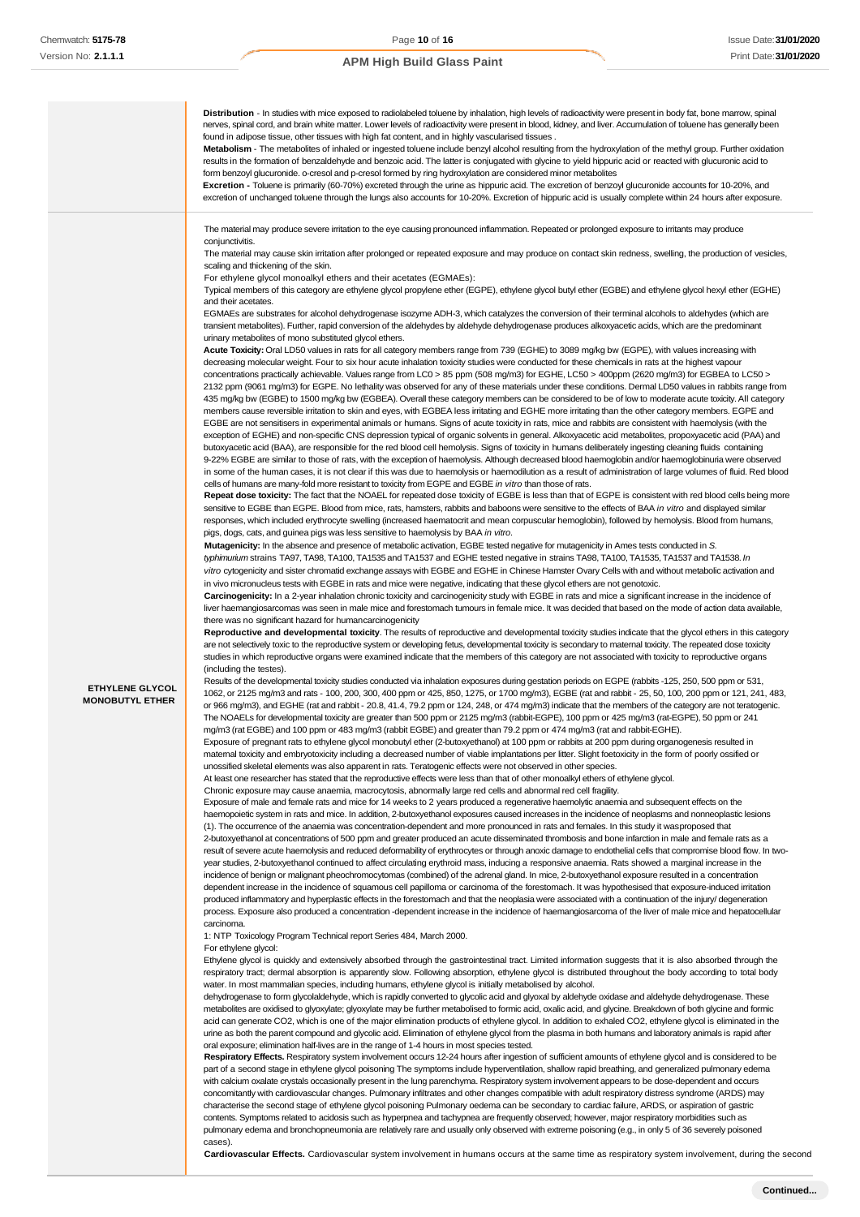

pulmonary edema and bronchopneumonia are relatively rare and usually only observed with extreme poisoning (e.g., in only 5 of 36 severely poisoned cases).

**Cardiovascular Effects.** Cardiovascular system involvement in humans occurs at the same time as respiratory system involvement, during the second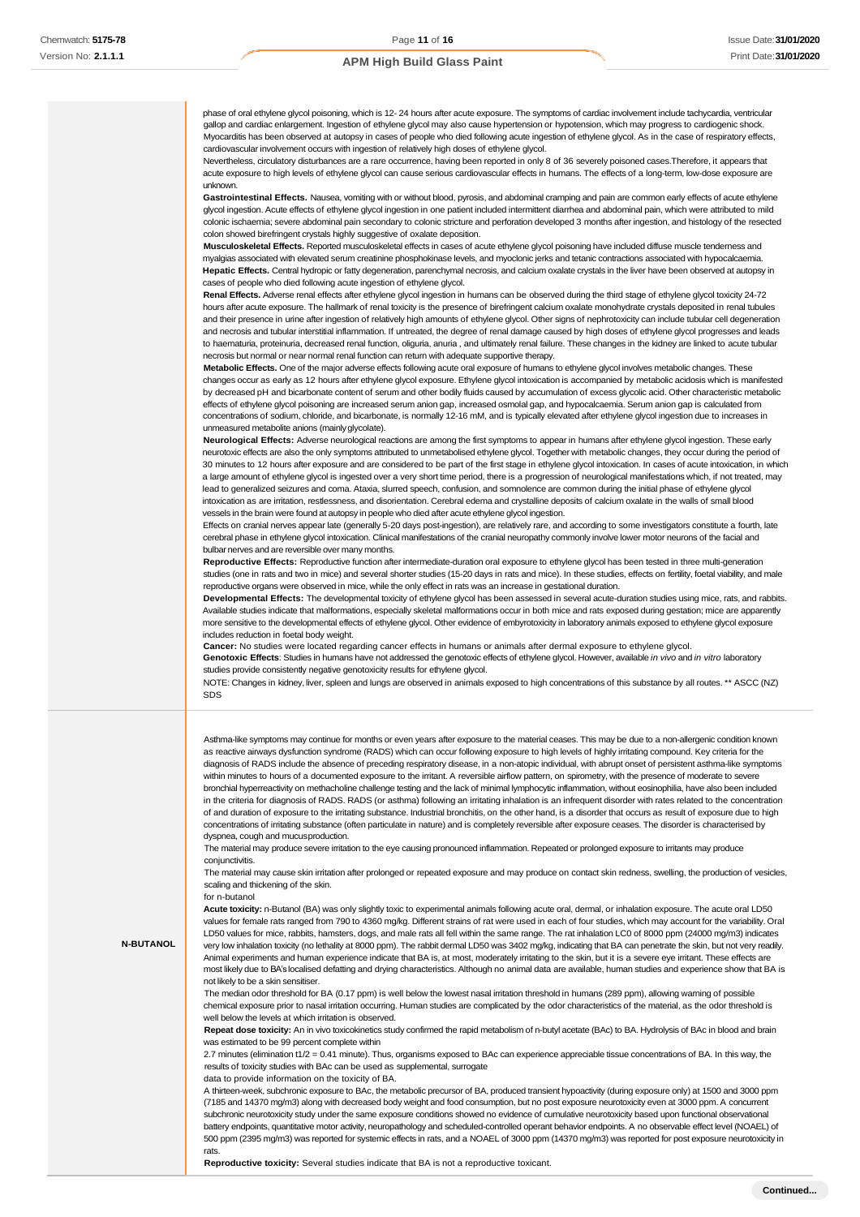phase of oral ethylene glycol poisoning, which is 12- 24 hours after acute exposure. The symptoms of cardiac involvement include tachycardia, ventricular gallop and cardiac enlargement. Ingestion of ethylene glycol may also cause hypertension or hypotension, which may progress to cardiogenic shock. Myocarditis has been observed at autopsy in cases of people who died following acute ingestion of ethylene glycol. As in the case of respiratory effects, cardiovascular involvement occurs with ingestion of relatively high doses of ethylene glycol.

Nevertheless, circulatory disturbances are a rare occurrence, having been reported in only 8 of 36 severely poisoned cases.Therefore, it appears that acute exposure to high levels of ethylene glycol can cause serious cardiovascular effects in humans. The effects of a long-term, low-dose exposure are unknown.

**Gastrointestinal Effects.** Nausea, vomiting with or without blood, pyrosis, and abdominal cramping and pain are common early effects of acute ethylene glycol ingestion. Acute effects of ethylene glycol ingestion in one patient included intermittent diarrhea and abdominal pain, which were attributed to mild colonic ischaemia; severe abdominal pain secondary to colonic stricture and perforation developed 3 months after ingestion, and histology of the resected colon showed birefringent crystals highly suggestive of oxalate deposition.

**Musculoskeletal Effects.** Reported musculoskeletal effects in cases of acute ethylene glycol poisoning have included diffuse muscle tenderness and myalgias associated with elevated serum creatinine phosphokinase levels, and myoclonic jerks and tetanic contractions associated with hypocalcaemia. **Hepatic Effects.** Central hydropic or fatty degeneration, parenchymal necrosis, and calcium oxalate crystals in the liver have been observed at autopsy in cases of people who died following acute ingestion of ethylene glycol.

**Renal Effects.** Adverse renal effects after ethylene glycol ingestion in humans can be observed during the third stage of ethylene glycol toxicity 24-72 hours after acute exposure. The hallmark of renal toxicity is the presence of birefringent calcium oxalate monohydrate crystals deposited in renal tubules and their presence in urine after ingestion of relatively high amounts of ethylene glycol. Other signs of nephrotoxicity can include tubular cell degeneration and necrosis and tubular interstitial inflammation. If untreated, the degree of renal damage caused by high doses of ethylene glycol progresses and leads to haematuria, proteinuria, decreased renal function, oliguria, anuria , and ultimately renal failure. These changes in the kidney are linked to acute tubular necrosis but normal or near normal renal function can return with adequate supportive therapy.

**Metabolic Effects.** One of the major adverse effects following acute oral exposure of humans to ethylene glycol involves metabolic changes. These changes occur as early as 12 hours after ethylene glycol exposure. Ethylene glycol intoxication is accompanied by metabolic acidosis which is manifested by decreased pH and bicarbonate content of serum and other bodily fluids caused by accumulation of excess glycolic acid. Other characteristic metabolic effects of ethylene glycol poisoning are increased serum anion gap, increased osmolal gap, and hypocalcaemia. Serum anion gap is calculated from concentrations of sodium, chloride, and bicarbonate, is normally 12-16 mM, and is typically elevated after ethylene glycol ingestion due to increases in unmeasured metabolite anions (mainlyglycolate).

**Neurological Effects:** Adverse neurological reactions are among the first symptoms to appear in humans after ethylene glycol ingestion. These early neurotoxic effects are also the only symptoms attributed to unmetabolised ethylene glycol. Together with metabolic changes, they occur during the period of 30 minutes to 12 hours after exposure and are considered to be part of the first stage in ethylene glycol intoxication. In cases of acute intoxication, in which a large amount of ethylene glycol is ingested over a very short time period, there is a progression of neurological manifestations which, if not treated, may lead to generalized seizures and coma. Ataxia, slurred speech, confusion, and somnolence are common during the initial phase of ethylene glycol intoxication as are irritation, restlessness, and disorientation. Cerebral edema and crystalline deposits of calcium oxalate in the walls of small blood vessels in the brain were found at autopsy in people who died after acute ethylene glycol ingestion.

Effects on cranial nerves appear late (generally 5-20 days post-ingestion), are relatively rare, and according to some investigators constitute a fourth, late cerebral phase in ethylene glycol intoxication. Clinical manifestations of the cranial neuropathy commonly involve lower motor neurons of the facial and bulbar nerves and are reversible over many months.

**Reproductive Effects:** Reproductive function after intermediate-duration oral exposure to ethylene glycol has been tested in three multi-generation studies (one in rats and two in mice) and several shorter studies (15-20 days in rats and mice). In these studies, effects on fertility, foetal viability, and male reproductive organs were observed in mice, while the only effect in rats was an increase in gestational duration.

**Developmental Effects:** The developmental toxicity of ethylene glycol has been assessed in several acute-duration studies using mice, rats, and rabbits. Available studies indicate that malformations, especially skeletal malformations occur in both mice and rats exposed during gestation; mice are apparently more sensitive to the developmental effects of ethylene glycol. Other evidence of embyrotoxicity in laboratory animals exposed to ethylene glycol exposure includes reduction in foetal body weight.

**Cancer:** No studies were located regarding cancer effects in humans or animals after dermal exposure to ethylene glycol.

**Genotoxic Effects**: Studies in humans have not addressed the genotoxic effects of ethylene glycol. However, available *in vivo* and *in vitro* laboratory studies provide consistently negative genotoxicity results for ethylene glycol.

NOTE: Changes in kidney, liver, spleen and lungs are observed in animals exposed to high concentrations of this substance by all routes. \*\* ASCC (NZ) SDS

Asthma-like symptoms may continue for months or even years after exposure to the material ceases. This may be due to a non-allergenic condition known as reactive airways dysfunction syndrome (RADS) which can occur following exposure to high levels of highly irritating compound. Key criteria for the diagnosis of RADS include the absence of preceding respiratory disease, in a non-atopic individual, with abrupt onset of persistent asthma-like symptoms within minutes to hours of a documented exposure to the irritant. A reversible airflow pattern, on spirometry, with the presence of moderate to severe bronchial hyperreactivity on methacholine challenge testing and the lack of minimal lymphocytic inflammation, without eosinophilia, have also been included in the criteria for diagnosis of RADS. RADS (or asthma) following an irritating inhalation is an infrequent disorder with rates related to the concentration of and duration of exposure to the irritating substance. Industrial bronchitis, on the other hand, is a disorder that occurs as result of exposure due to high concentrations of irritating substance (often particulate in nature) and is completely reversible after exposure ceases. The disorder is characterised by dyspnea, cough and mucusproduction.

The material may produce severe irritation to the eye causing pronounced inflammation. Repeated or prolonged exposure to irritants may produce conjunctivitis.

The material may cause skin irritation after prolonged or repeated exposure and may produce on contact skin redness, swelling, the production of vesicles, scaling and thickening of the skin.

#### for n-butanol

**N-BUTANOL**

**Acute toxicity:** n-Butanol (BA) was only slightly toxic to experimental animals following acute oral, dermal, or inhalation exposure. The acute oral LD50 values for female rats ranged from 790 to 4360 mg/kg. Different strains of rat were used in each of four studies, which may account for the variability. Oral LD50 values for mice, rabbits, hamsters, dogs, and male rats all fell within the same range. The rat inhalation LC0 of 8000 ppm (24000 mg/m3) indicates very low inhalation toxicity (no lethality at 8000 ppm). The rabbit dermal LD50 was 3402 mg/kg, indicating that BA can penetrate the skin, but not very readily. Animal experiments and human experience indicate that BA is, at most, moderately irritating to the skin, but it is a severe eye irritant. These effects are most likely due to BA's localised defatting and drying characteristics. Although no animal data are available, human studies and experience show that BA is not likely to be a skin sensitiser.

The median odor threshold for BA (0.17 ppm) is well below the lowest nasal irritation threshold in humans (289 ppm), allowing warning of possible chemical exposure prior to nasal irritation occurring. Human studies are complicated by the odor characteristics of the material, as the odor threshold is well below the levels at which irritation is observed.

**Repeat dose toxicity:** An in vivo toxicokinetics study confirmed the rapid metabolism of n-butyl acetate (BAc) to BA. Hydrolysis of BAc in blood and brain was estimated to be 99 percent complete within

2.7 minutes (elimination t1/2 = 0.41 minute). Thus, organisms exposed to BAc can experience appreciable tissue concentrations of BA. In this way, the results of toxicity studies with BAc can be used as supplemental, surrogate

data to provide information on the toxicity of BA.

A thirteen-week, subchronic exposure to BAc, the metabolic precursor of BA, produced transient hypoactivity (during exposure only) at 1500 and 3000 ppm (7185 and 14370 mg/m3) along with decreased body weight and food consumption, but no post exposure neurotoxicity even at 3000 ppm. A concurrent subchronic neurotoxicity study under the same exposure conditions showed no evidence of cumulative neurotoxicity based upon functional observational battery endpoints, quantitative motor activity, neuropathology and scheduled-controlled operant behavior endpoints. A no observable effect level (NOAEL) of 500 ppm (2395 mg/m3) was reported for systemic effects in rats, and a NOAEL of 3000 ppm (14370 mg/m3) was reported for post exposure neurotoxicity in rats.

**Reproductive toxicity:** Several studies indicate that BA is not a reproductive toxicant.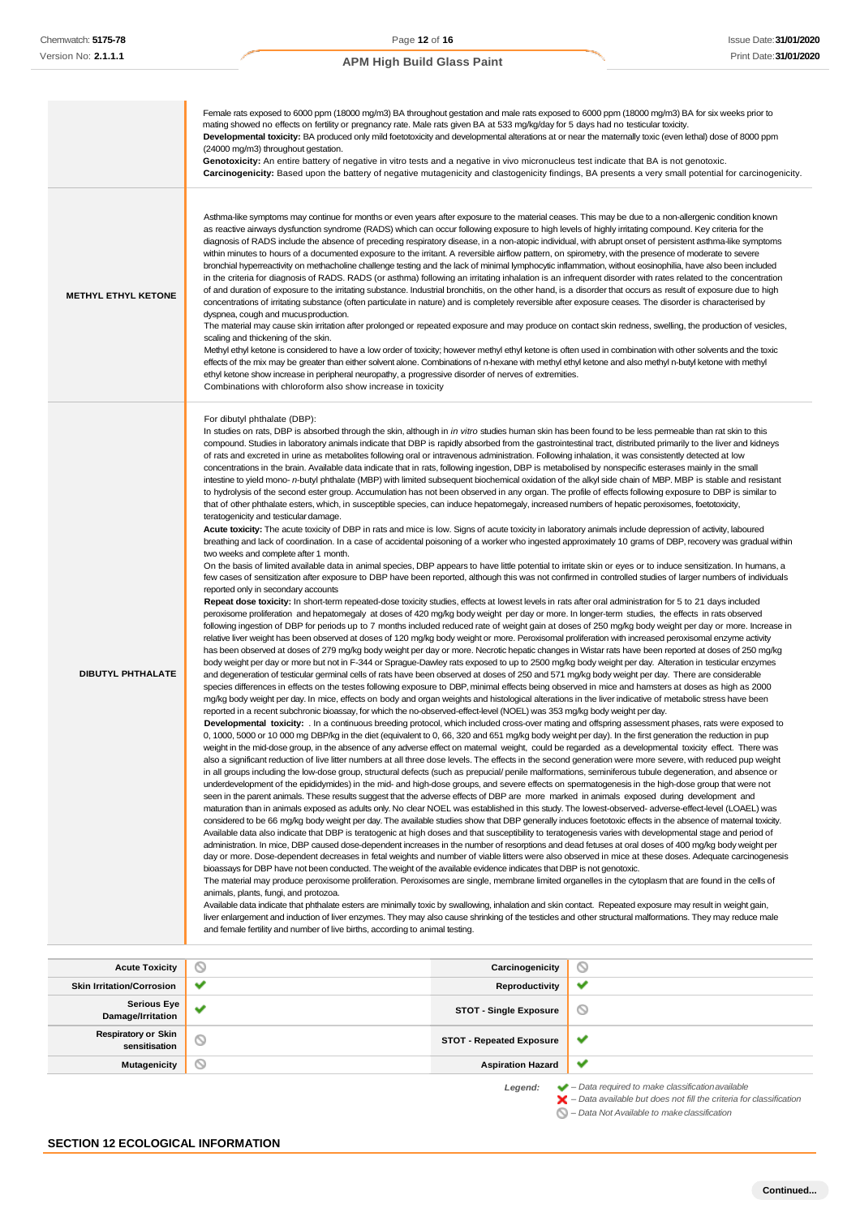#### Female rats exposed to 6000 ppm (18000 mg/m3) BA throughout gestation and male rats exposed to 6000 ppm (18000 mg/m3) BA for six weeks prior to mating showed no effects on fertility or pregnancy rate. Male rats given BA at 533 mg/kg/day for 5 days had no testicular toxicity. Developmental toxicity: BA produced only mild foetotoxicity and developmental alterations at or near the maternally toxic (even lethal) dose of 8000 ppm (24000 mg/m3) throughout gestation. Genotoxicity: An entire battery of negative in vitro tests and a negative in vivo micronucleus test indicate that BA is not genotoxic. **Carcinogenicity:** Based upon the battery of negative mutagenicity and clastogenicity findings, BA presents a very small potential for carcinogenicity. Asthma-like symptoms may continue for months or even years after exposure to the material ceases. This may be due to a non-allergenic condition known as reactive airways dysfunction syndrome (RADS) which can occur following exposure to high levels of highly irritating compound. Key criteria for the diagnosis of RADS include the absence of preceding respiratory disease, in a non-atopic individual, with abrupt onset of persistent asthma-like symptoms within minutes to hours of a documented exposure to the irritant. A reversible airflow pattern, on spirometry, with the presence of moderate to severe bronchial hyperreactivity on methacholine challenge testing and the lack of minimal lymphocytic inflammation, without eosinophilia, have also been included in the criteria for diagnosis of RADS. RADS (or asthma) following an irritating inhalation is an infrequent disorder with rates related to the concentration of and duration of exposure to the irritating substance. Industrial bronchitis, on the other hand, is a disorder that occurs as result of exposure due to high **METHYL ETHYL KETONE** concentrations of irritating substance (often particulate in nature) and is completely reversible after exposure ceases. The disorder is characterised by dyspnea, cough and mucusproduction. The material may cause skin irritation after prolonged or repeated exposure and may produce on contact skin redness, swelling, the production of vesicles, scaling and thickening of the skin. Methyl ethyl ketone is considered to have a low order of toxicity; however methyl ethyl ketone is often used in combination with other solvents and the toxic effects of the mix may be greater than either solvent alone. Combinations of n-hexane with methyl ethyl ketone and also methyl n-butyl ketone with methyl ethyl ketone show increase in peripheral neuropathy, a progressive disorder of nerves of extremities. Combinations with chloroform also show increase in toxicity For dibutyl phthalate (DBP): In studies on rats, DBP is absorbed through the skin, although in *in vitro* studies human skin has been found to be less permeable than rat skin to this compound. Studies in laboratory animals indicate that DBP is rapidly absorbed from the gastrointestinal tract, distributed primarily to the liver and kidneys of rats and excreted in urine as metabolites following oral or intravenous administration. Following inhalation, it was consistently detected at low concentrations in the brain. Available data indicate that in rats, following ingestion, DBP is metabolised by nonspecific esterases mainly in the small intestine to yield mono- *n*-butyl phthalate (MBP) with limited subsequent biochemical oxidation of the alkyl side chain of MBP. MBP is stable and resistant to hydrolysis of the second ester group. Accumulation has not been observed in any organ. The profile of effects following exposure to DBP is similar to that of other phthalate esters, which, in susceptible species, can induce hepatomegaly, increased numbers of hepatic peroxisomes, foetotoxicity, teratogenicity and testicular damage. **Acute toxicity:** The acute toxicity of DBP in rats and mice is low. Signs of acute toxicity in laboratory animals include depression of activity, laboured breathing and lack of coordination. In a case of accidental poisoning of a worker who ingested approximately 10 grams of DBP, recovery was gradual within two weeks and complete after 1 month. On the basis of limited available data in animal species, DBP appears to have little potential to irritate skin or eyes or to induce sensitization. In humans, a few cases of sensitization after exposure to DBP have been reported, although this was not confirmed in controlled studies of larger numbers of individuals reported only in secondary accounts **Repeat dose toxicity:** In short-term repeated-dose toxicity studies, effects at lowest levels in rats after oral administration for 5 to 21 days included peroxisome proliferation and hepatomegaly at doses of 420 mg/kg body weight per day or more. In longer-term studies, the effects in rats observed following ingestion of DBP for periods up to 7 months included reduced rate of weight gain at doses of 250 mg/kg body weight per day or more. Increase in relative liver weight has been observed at doses of 120 mg/kg body weight or more. Peroxisomal proliferation with increased peroxisomal enzyme activity has been observed at doses of 279 mg/kg body weight per day or more. Necrotic hepatic changes in Wistar rats have been reported at doses of 250 mg/kg body weight per day or more but not in F-344 or Sprague-Dawley rats exposed to up to 2500 mg/kg body weight per day. Alteration in testicular enzymes **DIBUTYL PHTHALATE** and degeneration of testicular germinal cells of rats have been observed at doses of 250 and 571 mg/kg body weight per day. There are considerable species differences in effects on the testes following exposure to DBP, minimal effects being observed in mice and hamsters at doses as high as 2000 mg/kg body weight per day. In mice, effects on body and organ weights and histological alterations in the liver indicative of metabolic stress have been reported in a recent subchronic bioassay, for which the no-observed-effect-level (NOEL) was 353 mg/kg body weight per day. **Developmental toxicity:** . In a continuous breeding protocol, which included cross-over mating and offspring assessment phases, rats were exposed to 0, 1000, 5000 or 10 000 mg DBP/kg in the diet (equivalent to 0, 66, 320 and 651 mg/kg body weight per day). In the first generation the reduction in pup weight in the mid-dose group, in the absence of any adverse effect on maternal weight, could be regarded as a developmental toxicity effect. There was also a significant reduction of live litter numbers at all three dose levels. The effects in the second generation were more severe, with reduced pup weight in all groups including the low-dose group, structural defects (such as prepucial/ penile malformations, seminiferous tubule degeneration, and absence or underdevelopment of the epididymides) in the mid- and high-dose groups, and severe effects on spermatogenesis in the high-dose group that were not seen in the parent animals. These results suggest that the adverse effects of DBP are more marked in animals exposed during development and maturation than in animals exposed as adults only. No clear NOEL was established in this study. The lowest-observed- adverse-effect-level (LOAEL) was considered to be 66 mg/kg body weight per day. The available studies show that DBP generally induces foetotoxic effects in the absence of maternal toxicity. Available data also indicate that DBP is teratogenic at high doses and that susceptibility to teratogenesis varies with developmental stage and period of administration. In mice, DBP caused dose-dependent increases in the number of resorptions and dead fetuses at oral doses of 400 mg/kg body weight per day or more. Dose-dependent decreases in fetal weights and number of viable litters were also observed in mice at these doses. Adequate carcinogenesis bioassays for DBP have not been conducted. The weight of the available evidence indicates that DBP is not genotoxic. The material may produce peroxisome proliferation. Peroxisomes are single, membrane limited organelles in the cytoplasm that are found in the cells of animals, plants, fungi, and protozoa. Available data indicate that phthalate esters are minimally toxic by swallowing, inhalation and skin contact. Repeated exposure may result in weight gain, liver enlargement and induction of liver enzymes. They may also cause shrinking of the testicles and other structural malformations. They may reduce male and female fertility and number of live births, according to animal testing. **Acute Toxicity Carcinogenicity**  $\circ$ **Skin Irritation/Corrosion ● ■ Productivity**  $\overline{\phantom{a}}$ **Serious Eye Damage/Irritation**<br> **Damage/Irritation**  $\circledcirc$

**sensitisation STOT - Repeated Exposure**

 $\checkmark$ **Mutagenicity Aspiration Hazard**

 $\checkmark$ 

*Legend: – Data required to make classificationavailable – Data available but does not fill the criteria for classification – Data Not Available to makeclassification*

**SECTION 12 ECOLOGICAL INFORMATION**

**Respiratory or Skin**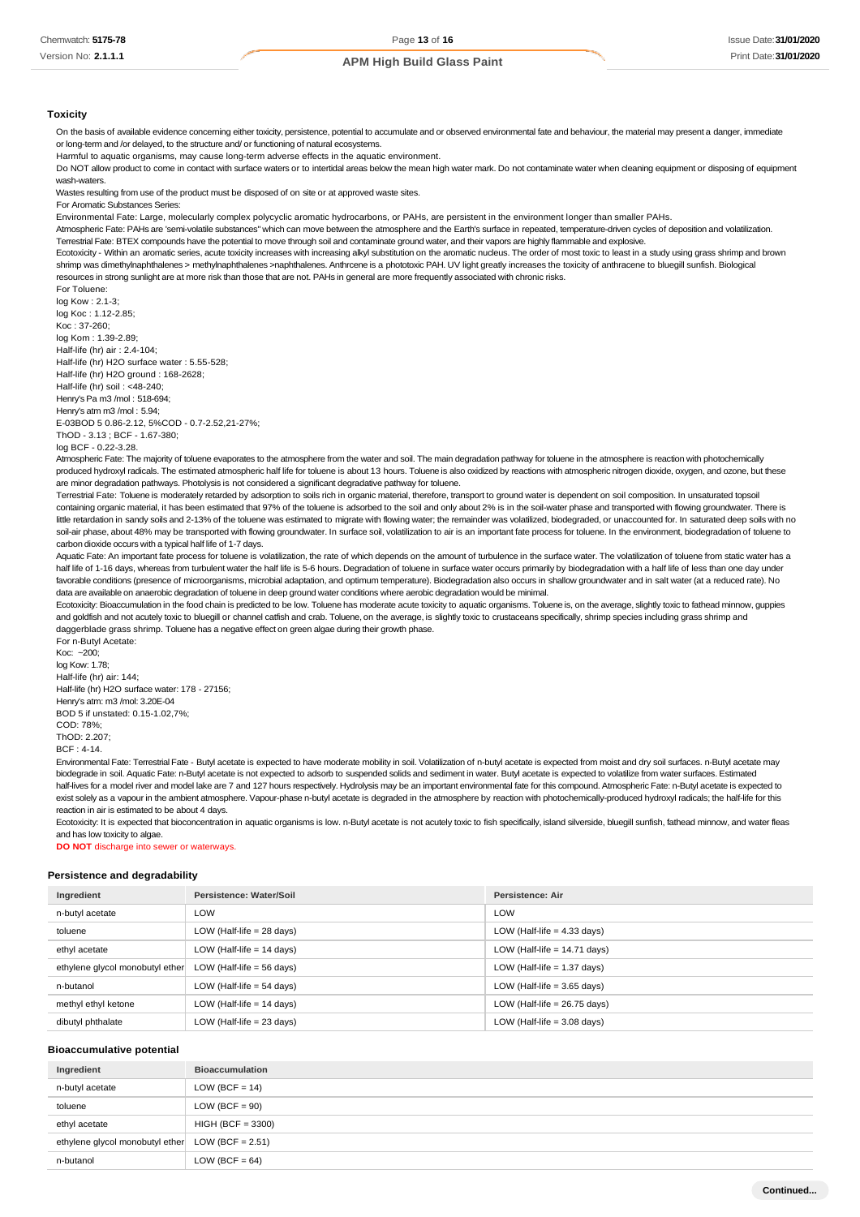#### **Toxicity**

On the basis of available evidence concerning either toxicity, persistence, potential to accumulate and or observed environmental fate and behaviour, the material may present a danger, immediate or long-term and /or delayed, to the structure and/ or functioning of natural ecosystems.

Harmful to aquatic organisms, may cause long-term adverse effects in the aquatic environment.

Do NOT allow product to come in contact with surface waters or to intertidal areas below the mean high water mark. Do not contaminate water when cleaning equipment or disposing of equipment wash-waters.

Wastes resulting from use of the product must be disposed of on site or at approved waste sites.

For Aromatic Substances Series:

Environmental Fate: Large, molecularly complex polycyclic aromatic hydrocarbons, or PAHs, are persistent in the environment longer than smaller PAHs.

Atmospheric Fate: PAHs are 'semi-volatile substances" which can move between the atmosphere and the Earth's surface in repeated, temperature-driven cycles of deposition and volatilization. Terrestrial Fate: BTEX compounds have the potential to move through soil and contaminate ground water, and their vapors are highly flammable and explosive.

Ecotoxicity - Within an aromatic series, acute toxicity increases with increasing alkyl substitution on the aromatic nucleus. The order of most toxic to least in a study using grass shrimp and brown shrimp was dimethylnaphthalenes > methylnaphthalenes >naphthalenes. Anthrcene is a phototoxic PAH. UV light greatly increases the toxicity of anthracene to bluegill sunfish. Biological resources in strong sunlight are at more risk than those that are not. PAHs in general are more frequently associated with chronic risks.

For Toluene: log Kow : 2.1-3;

log Koc : 1.12-2.85; Koc : 37-260; log Kom : 1.39-2.89; Half-life (hr) air : 2.4-104; Half-life (hr) H2O surface water : 5.55-528; Half-life (hr) H2O ground : 168-2628; Half-life (hr) soil : <48-240; Henry's Pa m3 /mol : 518-694; Henry's atm m3 /mol : 5.94; E-03BOD 5 0.86-2.12, 5%COD - 0.7-2.52,21-27%; ThOD - 3.13 ; BCF - 1.67-380;

log BCF - 0.22-3.28.

Atmospheric Fate: The majority of toluene evaporates to the atmosphere from the water and soil. The main degradation pathway for toluene in the atmosphere is reaction with photochemically produced hydroxyl radicals. The estimated atmospheric half life for toluene is about 13 hours. Toluene is also oxidized by reactions with atmospheric nitrogen dioxide, oxygen, and ozone, but these are minor degradation pathways. Photolysis is not considered a significant degradative pathway for toluene.

Terrestrial Fate: Toluene is moderately retarded by adsorption to soils rich in organic material, therefore, transport to ground water is dependent on soil composition. In unsaturated topsoil containing organic material, it has been estimated that 97% of the toluene is adsorbed to the soil and only about 2% is in the soil-water phase and transported with flowing groundwater. There is little retardation in sandy soils and 2-13% of the toluene was estimated to migrate with flowing water; the remainder was volatilized, biodegraded, or unaccounted for. In saturated deep soils with no soil-air phase, about 48% may be transported with flowing groundwater. In surface soil, volatilization to air is an important fate process for toluene. In the environment, biodegradation of toluene to carbon dioxide occurs with a typical half life of 1-7 days.

Aquatic Fate: An important fate process for toluene is volatilization, the rate of which depends on the amount of turbulence in the surface water. The volatilization of toluene from static water has a half life of 1-16 days, whereas from turbulent water the half life is 5-6 hours. Degradation of toluene in surface water occurs primarily by biodegradation with a half life of less than one day under favorable conditions (presence of microorganisms, microbial adaptation, and optimum temperature). Biodegradation also occurs in shallow groundwater and in salt water (at a reduced rate). No data are available on anaerobic degradation of toluene in deep ground water conditions where aerobic degradation would be minimal.

Ecotoxicity: Bioaccumulation in the food chain is predicted to be low. Toluene has moderate acute toxicity to aquatic organisms. Toluene is, on the average, slightly toxic to fathead minnow, guppies and goldfish and not acutely toxic to bluegill or channel catfish and crab. Toluene, on the average, is slightly toxic to crustaceans specifically, shrimp species including grass shrimp and daggerblade grass shrimp. Toluene has a negative effect on green algae during their growth phase. For n-Butyl Acetate:

Koc: ~200; log Kow: 1.78; Half-life (hr) air: 144; Half-life (hr) H2O surface water: 178 - 27156; Henry's atm: m3 /mol: 3.20E-04 BOD 5 if unstated: 0.15-1.02,7%; COD: 78%;  $ThOP: 2.207$ BCF : 4-14.

Environmental Fate: Terrestrial Fate - Butyl acetate is expected to have moderate mobility in soil. Volatilization of n-butyl acetate is expected from moist and dry soil surfaces. n-Butyl acetate may biodegrade in soil. Aquatic Fate: n-Butyl acetate is not expected to adsorb to suspended solids and sediment in water. Butyl acetate is expected to volatilize from water surfaces. Estimated half-lives for a model river and model lake are 7 and 127 hours respectively. Hydrolysis may be an important environmental fate for this compound. Atmospheric Fate: n-Butyl acetate is expected to exist solely as a vapour in the ambient atmosphere. Vapour-phase n-butyl acetate is degraded in the atmosphere by reaction with photochemically-produced hydroxyl radicals; the half-life for this reaction in air is estimated to be about 4 days.

Ecotoxicity: It is expected that bioconcentration in aquatic organisms is low. n-Butyl acetate is not acutely toxic to fish specifically, island silverside, bluegill sunfish, fathead minnow, and water fleas and has low toxicity to algae.

**DO NOT** discharge into sewer or waterways.

#### **Persistence and degradability**

| Ingredient                      | Persistence: Water/Soil     | <b>Persistence: Air</b>        |
|---------------------------------|-----------------------------|--------------------------------|
| n-butyl acetate                 | LOW                         | LOW                            |
| toluene                         | LOW (Half-life $= 28$ days) | LOW (Half-life $=$ 4.33 days)  |
| ethyl acetate                   | LOW (Half-life $= 14$ days) | LOW (Half-life $= 14.71$ days) |
| ethylene glycol monobutyl ether | LOW (Half-life $= 56$ days) | LOW (Half-life $= 1.37$ days)  |
| n-butanol                       | LOW (Half-life $= 54$ days) | LOW (Half-life $=$ 3.65 days)  |
| methyl ethyl ketone             | LOW (Half-life $= 14$ days) | LOW (Half-life $= 26.75$ days) |
| dibutyl phthalate               | LOW (Half-life $= 23$ days) | LOW (Half-life $=$ 3.08 days)  |

#### **Bioaccumulative potential**

| Ingredient                                         | <b>Bioaccumulation</b> |
|----------------------------------------------------|------------------------|
| n-butyl acetate                                    | $LOW (BCF = 14)$       |
| toluene                                            | $LOW (BCF = 90)$       |
| ethyl acetate                                      | $HIGH (BCF = 3300)$    |
| ethylene glycol monobutyl ether $LOW (BCF = 2.51)$ |                        |
| n-butanol                                          | LOW (BCF = $64$ )      |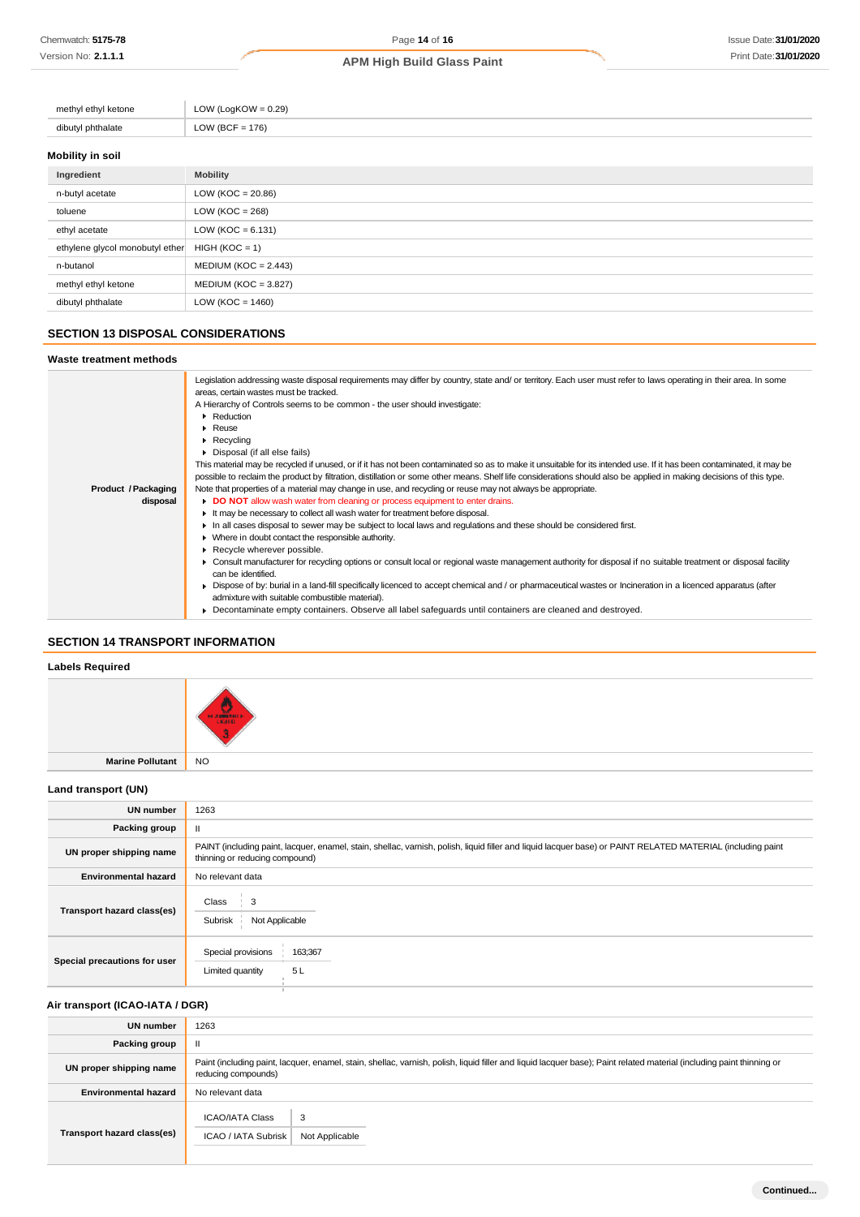| methyl ethyl ketone | LOW (LogKOW = $0.29$ ) |
|---------------------|------------------------|
| dibutyl phthalate   | LOW (BCF = $176$ )     |
|                     |                        |

## **Mobility in soil**

| Ingredient                      | <b>Mobility</b>        |
|---------------------------------|------------------------|
| n-butyl acetate                 | LOW ( $KOC = 20.86$ )  |
| toluene                         | LOW ( $KOC = 268$ )    |
| ethyl acetate                   | LOW ( $KOC = 6.131$ )  |
| ethylene glycol monobutyl ether | $HIGH (KOC = 1)$       |
| n-butanol                       | $MEDIUM (KOC = 2.443)$ |
| methyl ethyl ketone             | $MEDIUM (KOC = 3.827)$ |
| dibutyl phthalate               | LOW ( $KOC = 1460$ )   |

## **SECTION 13 DISPOSAL CONSIDERATIONS**

#### **Waste treatment methods**

|                     | Legislation addressing waste disposal requirements may differ by country, state and/ or territory. Each user must refer to laws operating in their area. In some<br>areas, certain wastes must be tracked. |
|---------------------|------------------------------------------------------------------------------------------------------------------------------------------------------------------------------------------------------------|
|                     | A Hierarchy of Controls seems to be common - the user should investigate:                                                                                                                                  |
|                     | Reduction                                                                                                                                                                                                  |
|                     | $\blacktriangleright$ Reuse                                                                                                                                                                                |
|                     | $\triangleright$ Recycling                                                                                                                                                                                 |
|                     | Disposal (if all else fails)                                                                                                                                                                               |
|                     |                                                                                                                                                                                                            |
|                     | This material may be recycled if unused, or if it has not been contaminated so as to make it unsuitable for its intended use. If it has been contaminated, it may be                                       |
|                     | possible to reclaim the product by filtration, distillation or some other means. Shelf life considerations should also be applied in making decisions of this type.                                        |
| Product / Packaging | Note that properties of a material may change in use, and recycling or reuse may not always be appropriate.                                                                                                |
| disposal            | DO NOT allow wash water from cleaning or process equipment to enter drains.                                                                                                                                |
|                     | It may be necessary to collect all wash water for treatment before disposal.                                                                                                                               |
|                     | In all cases disposal to sewer may be subject to local laws and regulations and these should be considered first.                                                                                          |
|                     | • Where in doubt contact the responsible authority.                                                                                                                                                        |
|                     | Recycle wherever possible.                                                                                                                                                                                 |
|                     | ► Consult manufacturer for recycling options or consult local or regional waste management authority for disposal if no suitable treatment or disposal facility                                            |
|                     | can be identified.                                                                                                                                                                                         |
|                     | ► Dispose of by: burial in a land-fill specifically licenced to accept chemical and / or pharmaceutical wastes or Incineration in a licenced apparatus (after                                              |
|                     | admixture with suitable combustible material).                                                                                                                                                             |
|                     | • Decontaminate empty containers. Observe all label safeguards until containers are cleaned and destroyed.                                                                                                 |
|                     |                                                                                                                                                                                                            |

## **SECTION 14 TRANSPORT INFORMATION**

## **Labels Required**

| Labois itoquitoa    |                      |
|---------------------|----------------------|
|                     | 7 ж<br><b>HANGER</b> |
| Marine Pollutant NO |                      |

## **Land transport (UN)**

| <b>UN number</b>             | 1263                                                                                                                                                                                          |  |
|------------------------------|-----------------------------------------------------------------------------------------------------------------------------------------------------------------------------------------------|--|
| Packing group                | Ш                                                                                                                                                                                             |  |
| UN proper shipping name      | PAINT (including paint, lacquer, enamel, stain, shellac, varnish, polish, liquid filler and liquid lacquer base) or PAINT RELATED MATERIAL (including paint<br>thinning or reducing compound) |  |
| <b>Environmental hazard</b>  | No relevant data                                                                                                                                                                              |  |
| Transport hazard class(es)   | Class<br>3<br>Subrisk<br>Not Applicable                                                                                                                                                       |  |
| Special precautions for user | Special provisions<br>163;367<br>5L<br>Limited quantity                                                                                                                                       |  |

## **Air transport (ICAO-IATA / DGR)**

| <b>UN number</b>            | 1263                                                                                                                                                                                         |  |
|-----------------------------|----------------------------------------------------------------------------------------------------------------------------------------------------------------------------------------------|--|
| Packing group               | $\mathbf{I}$                                                                                                                                                                                 |  |
| UN proper shipping name     | Paint (including paint, lacquer, enamel, stain, shellac, varnish, polish, liquid filler and liquid lacquer base); Paint related material (including paint thinning or<br>reducing compounds) |  |
| <b>Environmental hazard</b> | No relevant data                                                                                                                                                                             |  |
| Transport hazard class(es)  | <b>ICAO/IATA Class</b><br>3<br>ICAO / IATA Subrisk<br>Not Applicable                                                                                                                         |  |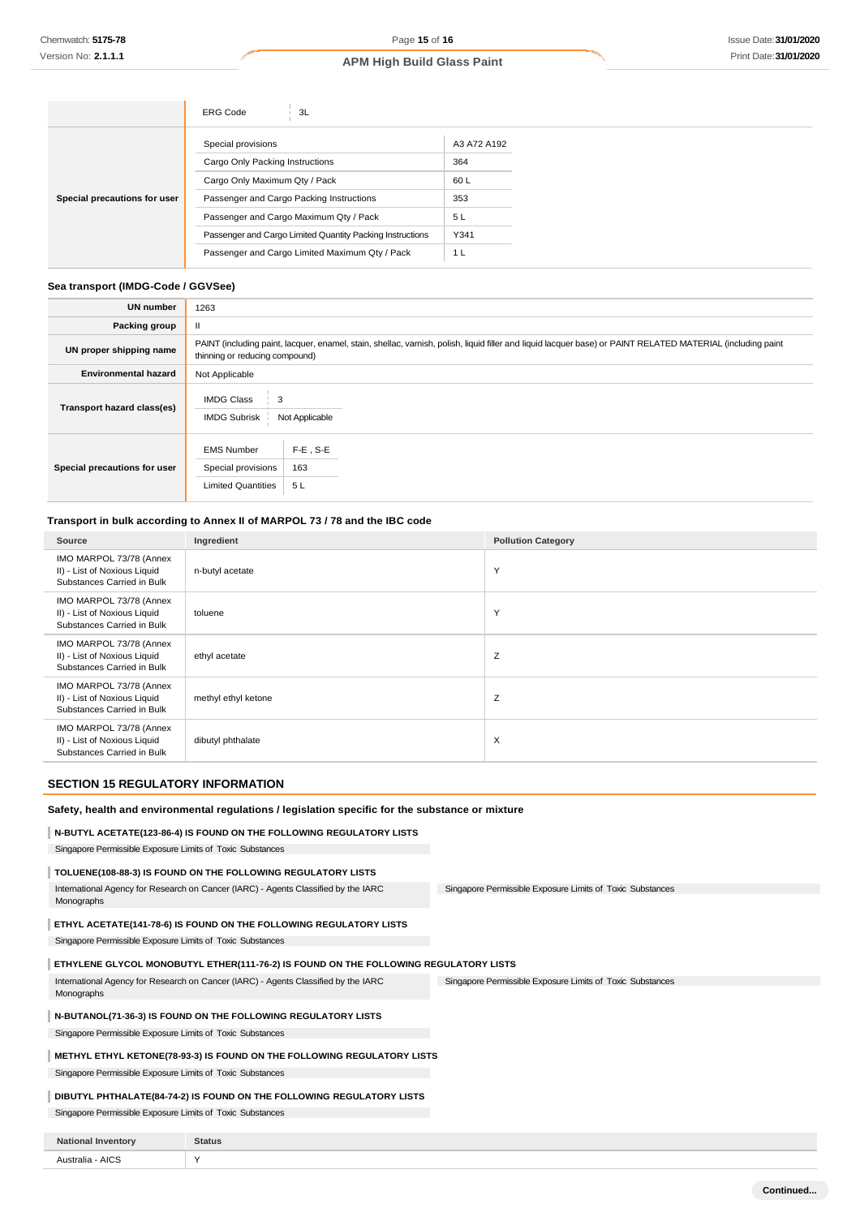|                              | <b>ERG Code</b><br>3L                                     |             |
|------------------------------|-----------------------------------------------------------|-------------|
|                              | Special provisions                                        | A3 A72 A192 |
|                              | Cargo Only Packing Instructions                           | 364         |
|                              | Cargo Only Maximum Qty / Pack                             | 60 L        |
| Special precautions for user | Passenger and Cargo Packing Instructions                  | 353         |
|                              | Passenger and Cargo Maximum Qty / Pack                    | 5L          |
|                              | Passenger and Cargo Limited Quantity Packing Instructions | Y341        |
|                              | Passenger and Cargo Limited Maximum Qty / Pack            | 1 L         |

#### **Sea transport (IMDG-Code / GGVSee)**

| <b>UN number</b>             | 1263                                                                                                                                                                                          |  |  |
|------------------------------|-----------------------------------------------------------------------------------------------------------------------------------------------------------------------------------------------|--|--|
| Packing group                |                                                                                                                                                                                               |  |  |
| UN proper shipping name      | PAINT (including paint, lacquer, enamel, stain, shellac, varnish, polish, liquid filler and liquid lacquer base) or PAINT RELATED MATERIAL (including paint<br>thinning or reducing compound) |  |  |
| <b>Environmental hazard</b>  | Not Applicable                                                                                                                                                                                |  |  |
| Transport hazard class(es)   | <b>IMDG Class</b><br><b>IMDG Subrisk</b><br>Not Applicable                                                                                                                                    |  |  |
| Special precautions for user | $F-E$ , S-E<br><b>EMS Number</b><br>163<br>Special provisions<br><b>Limited Quantities</b><br>5L                                                                                              |  |  |

### **Transport in bulk according to Annex II of MARPOL 73 / 78 and the IBC code**

| Source                                                                                | Ingredient          | <b>Pollution Category</b> |
|---------------------------------------------------------------------------------------|---------------------|---------------------------|
| IMO MARPOL 73/78 (Annex<br>II) - List of Noxious Liquid<br>Substances Carried in Bulk | n-butyl acetate     | Y                         |
| IMO MARPOL 73/78 (Annex<br>II) - List of Noxious Liquid<br>Substances Carried in Bulk | toluene             | Y                         |
| IMO MARPOL 73/78 (Annex<br>II) - List of Noxious Liquid<br>Substances Carried in Bulk | ethyl acetate       | Z                         |
| IMO MARPOL 73/78 (Annex<br>II) - List of Noxious Liquid<br>Substances Carried in Bulk | methyl ethyl ketone | Z                         |
| IMO MARPOL 73/78 (Annex<br>II) - List of Noxious Liquid<br>Substances Carried in Bulk | dibutyl phthalate   | $\times$                  |

## **SECTION 15 REGULATORY INFORMATION**

#### **Safety, health and environmental regulations / legislation specific for the substance or mixture**

## **N-BUTYL ACETATE(123-86-4) IS FOUND ON THE FOLLOWING REGULATORY LISTS**

Singapore Permissible Exposure Limits of Toxic Substances

## **TOLUENE(108-88-3) IS FOUND ON THE FOLLOWING REGULATORY LISTS**

Singapore Permissible Exposure Limits of Toxic Substances International Agency for Research on Cancer (IARC) - Agents Classified by the IARC Monographs

### **ETHYL ACETATE(141-78-6) IS FOUND ON THE FOLLOWING REGULATORY LISTS**

Singapore Permissible Exposure Limits of Toxic Substances

#### **ETHYLENE GLYCOL MONOBUTYL ETHER(111-76-2) IS FOUND ON THE FOLLOWING REGULATORY LISTS**

Singapore Permissible Exposure Limits of Toxic Substances International Agency for Research on Cancer (IARC) - Agents Classified by the IARC Monographs

#### **N-BUTANOL(71-36-3) IS FOUND ON THE FOLLOWING REGULATORY LISTS**

Singapore Permissible Exposure Limits of Toxic Substances

## **METHYL ETHYL KETONE(78-93-3) IS FOUND ON THE FOLLOWING REGULATORY LISTS**

Singapore Permissible Exposure Limits of Toxic Substances

## **DIBUTYL PHTHALATE(84-74-2) IS FOUND ON THE FOLLOWING REGULATORY LISTS**

Singapore Permissible Exposure Limits of Toxic Substances

| <b>Nation</b><br><b>rentor</b> | Status |
|--------------------------------|--------|
| AICS<br>alıs<br>$ -$<br>.      |        |